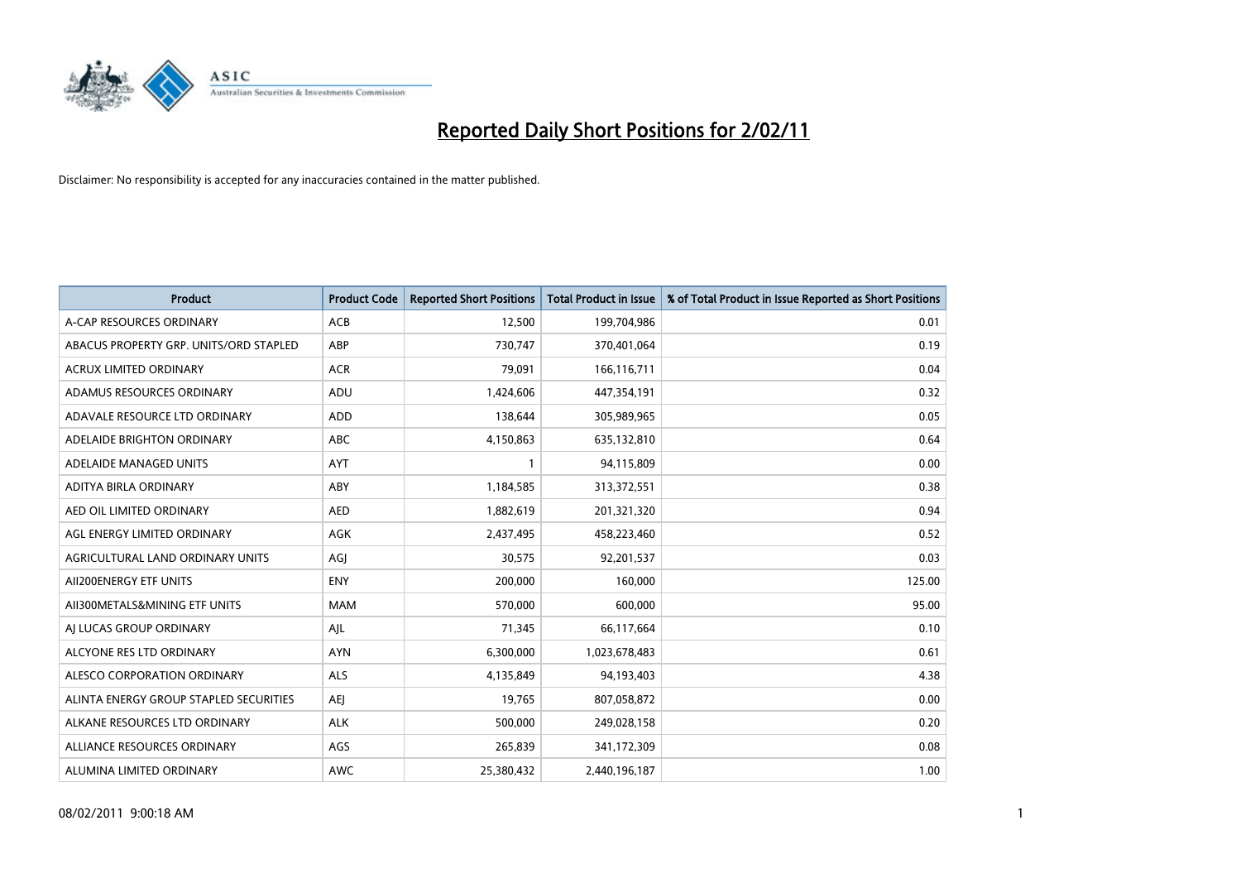

| <b>Product</b>                         | <b>Product Code</b> | <b>Reported Short Positions</b> | Total Product in Issue | % of Total Product in Issue Reported as Short Positions |
|----------------------------------------|---------------------|---------------------------------|------------------------|---------------------------------------------------------|
| A-CAP RESOURCES ORDINARY               | ACB                 | 12,500                          | 199,704,986            | 0.01                                                    |
| ABACUS PROPERTY GRP. UNITS/ORD STAPLED | ABP                 | 730,747                         | 370,401,064            | 0.19                                                    |
| <b>ACRUX LIMITED ORDINARY</b>          | <b>ACR</b>          | 79,091                          | 166,116,711            | 0.04                                                    |
| ADAMUS RESOURCES ORDINARY              | ADU                 | 1,424,606                       | 447,354,191            | 0.32                                                    |
| ADAVALE RESOURCE LTD ORDINARY          | <b>ADD</b>          | 138.644                         | 305,989,965            | 0.05                                                    |
| ADELAIDE BRIGHTON ORDINARY             | <b>ABC</b>          | 4,150,863                       | 635,132,810            | 0.64                                                    |
| ADELAIDE MANAGED UNITS                 | <b>AYT</b>          |                                 | 94,115,809             | 0.00                                                    |
| ADITYA BIRLA ORDINARY                  | ABY                 | 1,184,585                       | 313,372,551            | 0.38                                                    |
| AED OIL LIMITED ORDINARY               | <b>AED</b>          | 1,882,619                       | 201,321,320            | 0.94                                                    |
| AGL ENERGY LIMITED ORDINARY            | <b>AGK</b>          | 2,437,495                       | 458,223,460            | 0.52                                                    |
| AGRICULTURAL LAND ORDINARY UNITS       | AGJ                 | 30,575                          | 92,201,537             | 0.03                                                    |
| AII200ENERGY ETF UNITS                 | <b>ENY</b>          | 200,000                         | 160,000                | 125.00                                                  |
| AII300METALS&MINING ETF UNITS          | <b>MAM</b>          | 570,000                         | 600.000                | 95.00                                                   |
| AI LUCAS GROUP ORDINARY                | AJL                 | 71,345                          | 66,117,664             | 0.10                                                    |
| ALCYONE RES LTD ORDINARY               | <b>AYN</b>          | 6,300,000                       | 1,023,678,483          | 0.61                                                    |
| ALESCO CORPORATION ORDINARY            | <b>ALS</b>          | 4,135,849                       | 94,193,403             | 4.38                                                    |
| ALINTA ENERGY GROUP STAPLED SECURITIES | AEJ                 | 19,765                          | 807,058,872            | 0.00                                                    |
| ALKANE RESOURCES LTD ORDINARY          | <b>ALK</b>          | 500,000                         | 249,028,158            | 0.20                                                    |
| ALLIANCE RESOURCES ORDINARY            | AGS                 | 265,839                         | 341,172,309            | 0.08                                                    |
| ALUMINA LIMITED ORDINARY               | <b>AWC</b>          | 25,380,432                      | 2,440,196,187          | 1.00                                                    |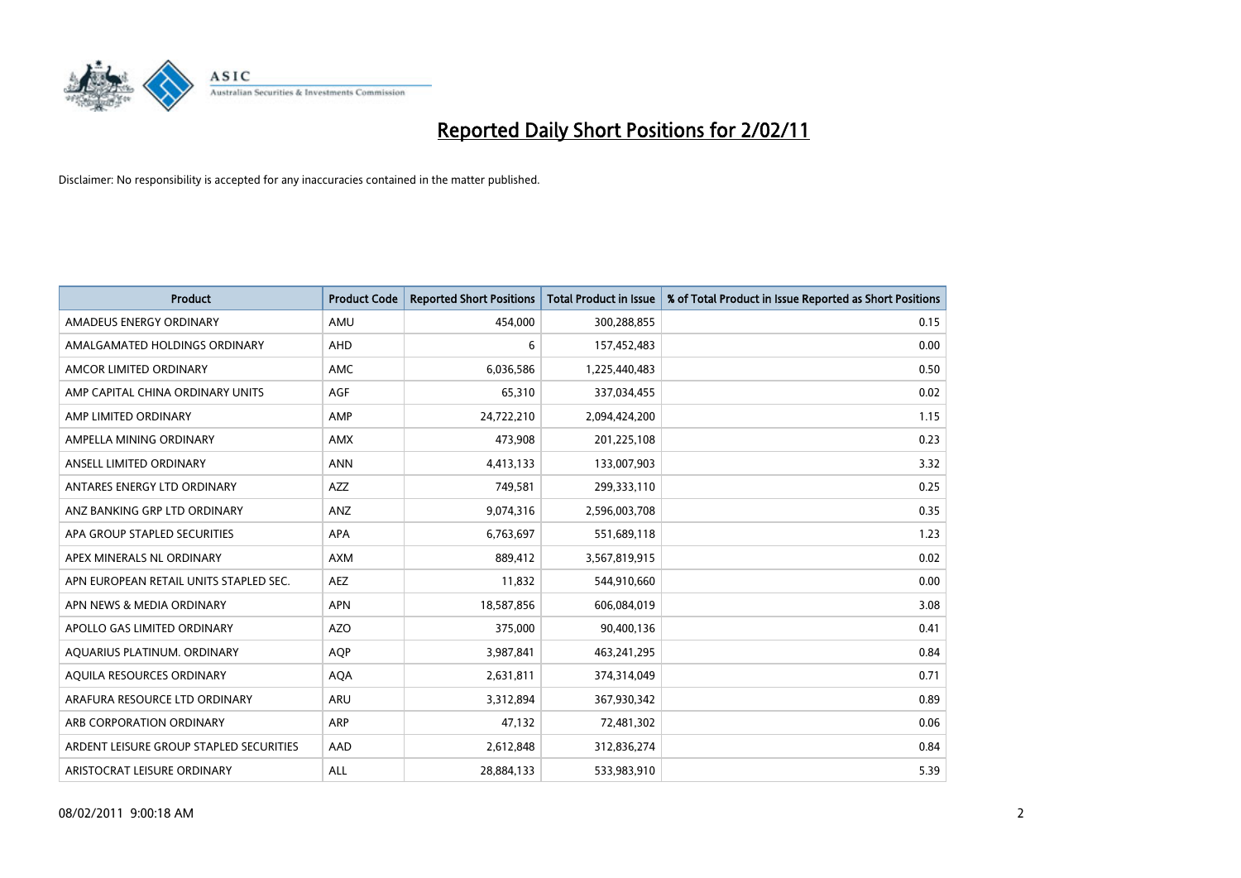

| <b>Product</b>                          | <b>Product Code</b> | <b>Reported Short Positions</b> | <b>Total Product in Issue</b> | % of Total Product in Issue Reported as Short Positions |
|-----------------------------------------|---------------------|---------------------------------|-------------------------------|---------------------------------------------------------|
| AMADEUS ENERGY ORDINARY                 | AMU                 | 454,000                         | 300,288,855                   | 0.15                                                    |
| AMALGAMATED HOLDINGS ORDINARY           | AHD                 | 6                               | 157,452,483                   | 0.00                                                    |
| AMCOR LIMITED ORDINARY                  | <b>AMC</b>          | 6,036,586                       | 1,225,440,483                 | 0.50                                                    |
| AMP CAPITAL CHINA ORDINARY UNITS        | <b>AGF</b>          | 65,310                          | 337,034,455                   | 0.02                                                    |
| AMP LIMITED ORDINARY                    | AMP                 | 24,722,210                      | 2,094,424,200                 | 1.15                                                    |
| AMPELLA MINING ORDINARY                 | <b>AMX</b>          | 473,908                         | 201,225,108                   | 0.23                                                    |
| ANSELL LIMITED ORDINARY                 | <b>ANN</b>          | 4,413,133                       | 133,007,903                   | 3.32                                                    |
| ANTARES ENERGY LTD ORDINARY             | <b>AZZ</b>          | 749,581                         | 299,333,110                   | 0.25                                                    |
| ANZ BANKING GRP LTD ORDINARY            | ANZ                 | 9,074,316                       | 2,596,003,708                 | 0.35                                                    |
| APA GROUP STAPLED SECURITIES            | <b>APA</b>          | 6,763,697                       | 551,689,118                   | 1.23                                                    |
| APEX MINERALS NL ORDINARY               | <b>AXM</b>          | 889,412                         | 3,567,819,915                 | 0.02                                                    |
| APN EUROPEAN RETAIL UNITS STAPLED SEC.  | <b>AEZ</b>          | 11,832                          | 544,910,660                   | 0.00                                                    |
| APN NEWS & MEDIA ORDINARY               | <b>APN</b>          | 18,587,856                      | 606,084,019                   | 3.08                                                    |
| APOLLO GAS LIMITED ORDINARY             | <b>AZO</b>          | 375,000                         | 90,400,136                    | 0.41                                                    |
| AQUARIUS PLATINUM. ORDINARY             | <b>AOP</b>          | 3,987,841                       | 463,241,295                   | 0.84                                                    |
| AQUILA RESOURCES ORDINARY               | <b>AQA</b>          | 2,631,811                       | 374,314,049                   | 0.71                                                    |
| ARAFURA RESOURCE LTD ORDINARY           | <b>ARU</b>          | 3,312,894                       | 367,930,342                   | 0.89                                                    |
| ARB CORPORATION ORDINARY                | <b>ARP</b>          | 47,132                          | 72,481,302                    | 0.06                                                    |
| ARDENT LEISURE GROUP STAPLED SECURITIES | AAD                 | 2,612,848                       | 312,836,274                   | 0.84                                                    |
| ARISTOCRAT LEISURE ORDINARY             | ALL                 | 28,884,133                      | 533,983,910                   | 5.39                                                    |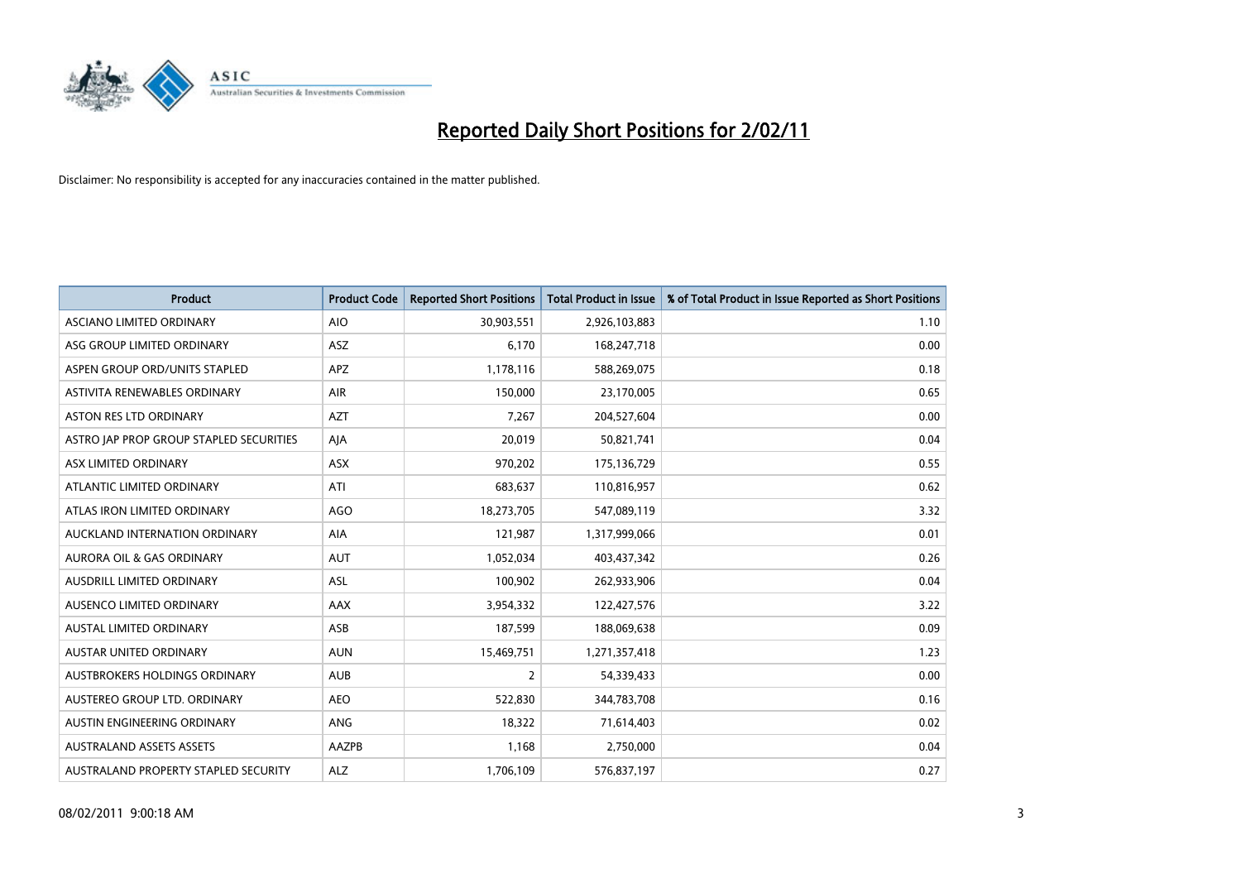

| <b>Product</b>                          | <b>Product Code</b> | <b>Reported Short Positions</b> | Total Product in Issue | % of Total Product in Issue Reported as Short Positions |
|-----------------------------------------|---------------------|---------------------------------|------------------------|---------------------------------------------------------|
| <b>ASCIANO LIMITED ORDINARY</b>         | <b>AIO</b>          | 30,903,551                      | 2,926,103,883          | 1.10                                                    |
| ASG GROUP LIMITED ORDINARY              | ASZ                 | 6,170                           | 168,247,718            | 0.00                                                    |
| ASPEN GROUP ORD/UNITS STAPLED           | <b>APZ</b>          | 1,178,116                       | 588,269,075            | 0.18                                                    |
| ASTIVITA RENEWABLES ORDINARY            | <b>AIR</b>          | 150,000                         | 23,170,005             | 0.65                                                    |
| <b>ASTON RES LTD ORDINARY</b>           | <b>AZT</b>          | 7,267                           | 204,527,604            | 0.00                                                    |
| ASTRO JAP PROP GROUP STAPLED SECURITIES | AJA                 | 20,019                          | 50,821,741             | 0.04                                                    |
| ASX LIMITED ORDINARY                    | <b>ASX</b>          | 970,202                         | 175,136,729            | 0.55                                                    |
| ATLANTIC LIMITED ORDINARY               | ATI                 | 683,637                         | 110,816,957            | 0.62                                                    |
| ATLAS IRON LIMITED ORDINARY             | <b>AGO</b>          | 18,273,705                      | 547,089,119            | 3.32                                                    |
| AUCKLAND INTERNATION ORDINARY           | <b>AIA</b>          | 121,987                         | 1,317,999,066          | 0.01                                                    |
| AURORA OIL & GAS ORDINARY               | <b>AUT</b>          | 1,052,034                       | 403,437,342            | 0.26                                                    |
| AUSDRILL LIMITED ORDINARY               | ASL                 | 100,902                         | 262,933,906            | 0.04                                                    |
| AUSENCO LIMITED ORDINARY                | <b>AAX</b>          | 3,954,332                       | 122,427,576            | 3.22                                                    |
| <b>AUSTAL LIMITED ORDINARY</b>          | ASB                 | 187,599                         | 188,069,638            | 0.09                                                    |
| <b>AUSTAR UNITED ORDINARY</b>           | <b>AUN</b>          | 15,469,751                      | 1,271,357,418          | 1.23                                                    |
| AUSTBROKERS HOLDINGS ORDINARY           | <b>AUB</b>          | 2                               | 54,339,433             | 0.00                                                    |
| AUSTEREO GROUP LTD. ORDINARY            | <b>AEO</b>          | 522,830                         | 344,783,708            | 0.16                                                    |
| AUSTIN ENGINEERING ORDINARY             | ANG                 | 18,322                          | 71,614,403             | 0.02                                                    |
| <b>AUSTRALAND ASSETS ASSETS</b>         | AAZPB               | 1,168                           | 2,750,000              | 0.04                                                    |
| AUSTRALAND PROPERTY STAPLED SECURITY    | <b>ALZ</b>          | 1,706,109                       | 576,837,197            | 0.27                                                    |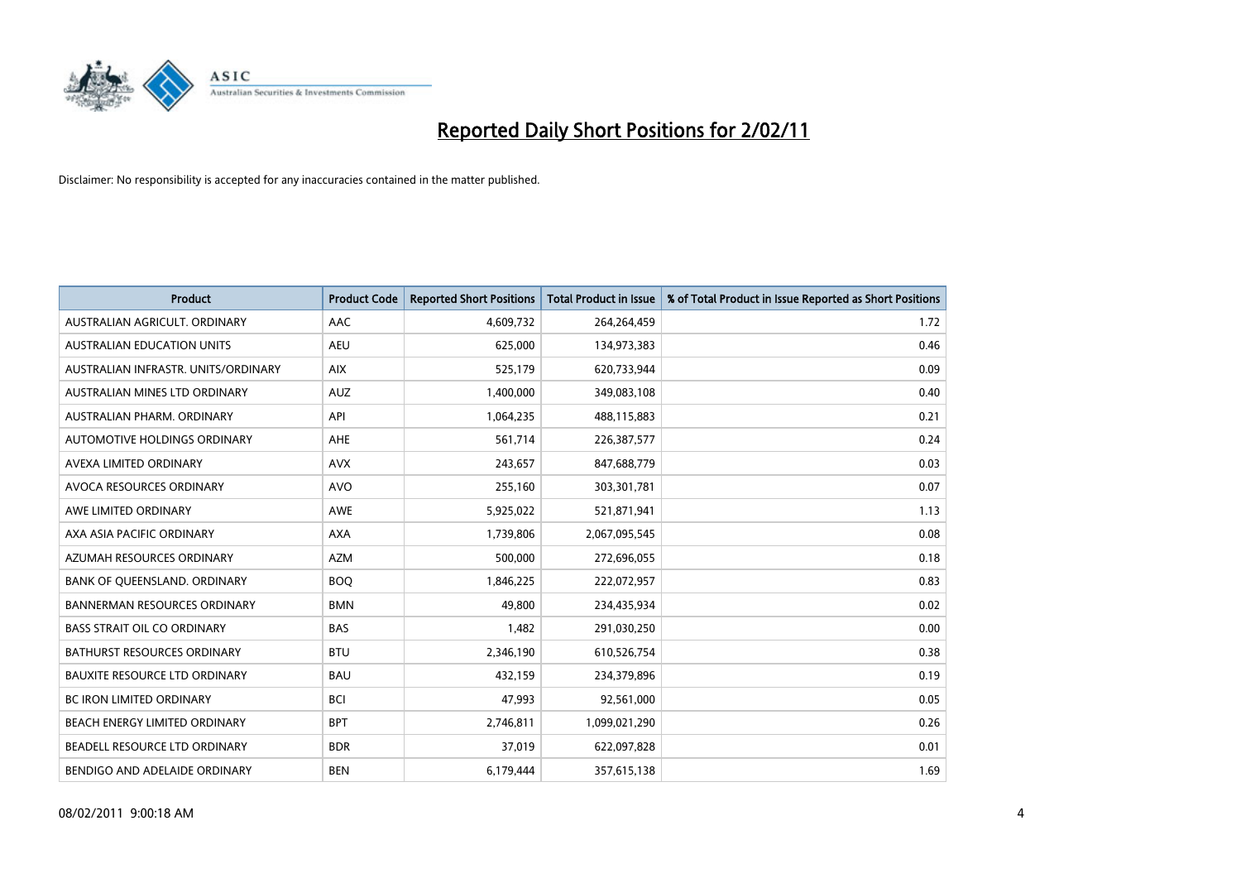

| <b>Product</b>                       | <b>Product Code</b> | <b>Reported Short Positions</b> | Total Product in Issue | % of Total Product in Issue Reported as Short Positions |
|--------------------------------------|---------------------|---------------------------------|------------------------|---------------------------------------------------------|
| AUSTRALIAN AGRICULT, ORDINARY        | AAC                 | 4,609,732                       | 264,264,459            | 1.72                                                    |
| <b>AUSTRALIAN EDUCATION UNITS</b>    | <b>AEU</b>          | 625,000                         | 134,973,383            | 0.46                                                    |
| AUSTRALIAN INFRASTR, UNITS/ORDINARY  | <b>AIX</b>          | 525,179                         | 620,733,944            | 0.09                                                    |
| AUSTRALIAN MINES LTD ORDINARY        | <b>AUZ</b>          | 1,400,000                       | 349,083,108            | 0.40                                                    |
| AUSTRALIAN PHARM, ORDINARY           | API                 | 1,064,235                       | 488,115,883            | 0.21                                                    |
| <b>AUTOMOTIVE HOLDINGS ORDINARY</b>  | <b>AHE</b>          | 561,714                         | 226,387,577            | 0.24                                                    |
| AVEXA LIMITED ORDINARY               | <b>AVX</b>          | 243,657                         | 847,688,779            | 0.03                                                    |
| AVOCA RESOURCES ORDINARY             | <b>AVO</b>          | 255,160                         | 303,301,781            | 0.07                                                    |
| AWE LIMITED ORDINARY                 | <b>AWE</b>          | 5,925,022                       | 521,871,941            | 1.13                                                    |
| AXA ASIA PACIFIC ORDINARY            | <b>AXA</b>          | 1,739,806                       | 2,067,095,545          | 0.08                                                    |
| AZUMAH RESOURCES ORDINARY            | <b>AZM</b>          | 500,000                         | 272,696,055            | 0.18                                                    |
| BANK OF QUEENSLAND. ORDINARY         | <b>BOQ</b>          | 1,846,225                       | 222,072,957            | 0.83                                                    |
| <b>BANNERMAN RESOURCES ORDINARY</b>  | <b>BMN</b>          | 49.800                          | 234,435,934            | 0.02                                                    |
| <b>BASS STRAIT OIL CO ORDINARY</b>   | <b>BAS</b>          | 1,482                           | 291,030,250            | 0.00                                                    |
| <b>BATHURST RESOURCES ORDINARY</b>   | <b>BTU</b>          | 2,346,190                       | 610,526,754            | 0.38                                                    |
| <b>BAUXITE RESOURCE LTD ORDINARY</b> | <b>BAU</b>          | 432,159                         | 234,379,896            | 0.19                                                    |
| <b>BC IRON LIMITED ORDINARY</b>      | <b>BCI</b>          | 47,993                          | 92,561,000             | 0.05                                                    |
| BEACH ENERGY LIMITED ORDINARY        | <b>BPT</b>          | 2,746,811                       | 1,099,021,290          | 0.26                                                    |
| BEADELL RESOURCE LTD ORDINARY        | <b>BDR</b>          | 37,019                          | 622,097,828            | 0.01                                                    |
| BENDIGO AND ADELAIDE ORDINARY        | <b>BEN</b>          | 6,179,444                       | 357,615,138            | 1.69                                                    |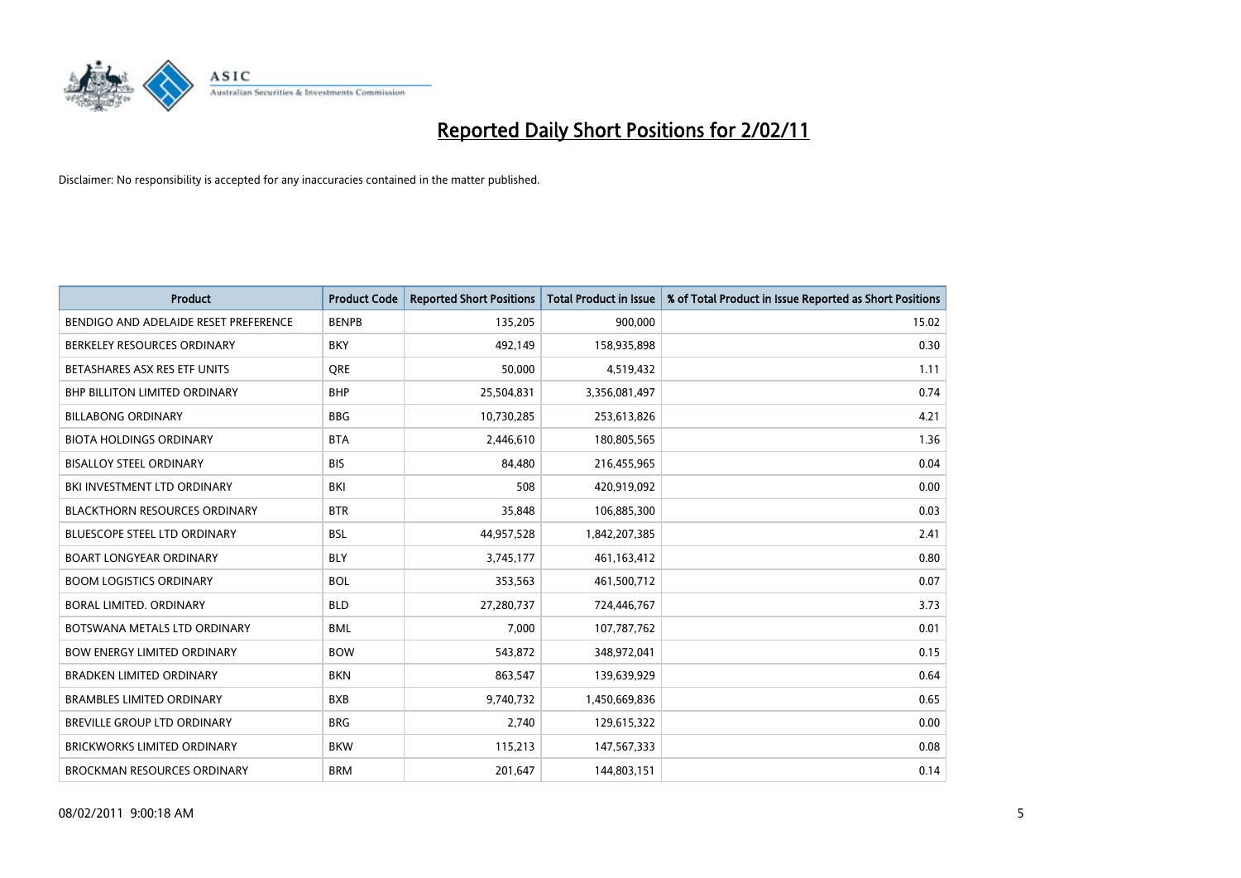

| Product                               | <b>Product Code</b> | <b>Reported Short Positions</b> | <b>Total Product in Issue</b> | % of Total Product in Issue Reported as Short Positions |
|---------------------------------------|---------------------|---------------------------------|-------------------------------|---------------------------------------------------------|
| BENDIGO AND ADELAIDE RESET PREFERENCE | <b>BENPB</b>        | 135,205                         | 900,000                       | 15.02                                                   |
| BERKELEY RESOURCES ORDINARY           | <b>BKY</b>          | 492,149                         | 158,935,898                   | 0.30                                                    |
| BETASHARES ASX RES ETF UNITS          | <b>ORE</b>          | 50,000                          | 4,519,432                     | 1.11                                                    |
| BHP BILLITON LIMITED ORDINARY         | <b>BHP</b>          | 25,504,831                      | 3,356,081,497                 | 0.74                                                    |
| <b>BILLABONG ORDINARY</b>             | <b>BBG</b>          | 10,730,285                      | 253,613,826                   | 4.21                                                    |
| <b>BIOTA HOLDINGS ORDINARY</b>        | <b>BTA</b>          | 2.446.610                       | 180,805,565                   | 1.36                                                    |
| <b>BISALLOY STEEL ORDINARY</b>        | <b>BIS</b>          | 84,480                          | 216,455,965                   | 0.04                                                    |
| BKI INVESTMENT LTD ORDINARY           | BKI                 | 508                             | 420,919,092                   | 0.00                                                    |
| <b>BLACKTHORN RESOURCES ORDINARY</b>  | <b>BTR</b>          | 35,848                          | 106,885,300                   | 0.03                                                    |
| BLUESCOPE STEEL LTD ORDINARY          | <b>BSL</b>          | 44,957,528                      | 1,842,207,385                 | 2.41                                                    |
| <b>BOART LONGYEAR ORDINARY</b>        | <b>BLY</b>          | 3,745,177                       | 461,163,412                   | 0.80                                                    |
| <b>BOOM LOGISTICS ORDINARY</b>        | <b>BOL</b>          | 353,563                         | 461,500,712                   | 0.07                                                    |
| BORAL LIMITED, ORDINARY               | <b>BLD</b>          | 27,280,737                      | 724,446,767                   | 3.73                                                    |
| BOTSWANA METALS LTD ORDINARY          | <b>BML</b>          | 7,000                           | 107,787,762                   | 0.01                                                    |
| <b>BOW ENERGY LIMITED ORDINARY</b>    | <b>BOW</b>          | 543,872                         | 348,972,041                   | 0.15                                                    |
| <b>BRADKEN LIMITED ORDINARY</b>       | <b>BKN</b>          | 863,547                         | 139,639,929                   | 0.64                                                    |
| <b>BRAMBLES LIMITED ORDINARY</b>      | <b>BXB</b>          | 9,740,732                       | 1,450,669,836                 | 0.65                                                    |
| BREVILLE GROUP LTD ORDINARY           | <b>BRG</b>          | 2,740                           | 129,615,322                   | 0.00                                                    |
| <b>BRICKWORKS LIMITED ORDINARY</b>    | <b>BKW</b>          | 115,213                         | 147,567,333                   | 0.08                                                    |
| <b>BROCKMAN RESOURCES ORDINARY</b>    | <b>BRM</b>          | 201,647                         | 144,803,151                   | 0.14                                                    |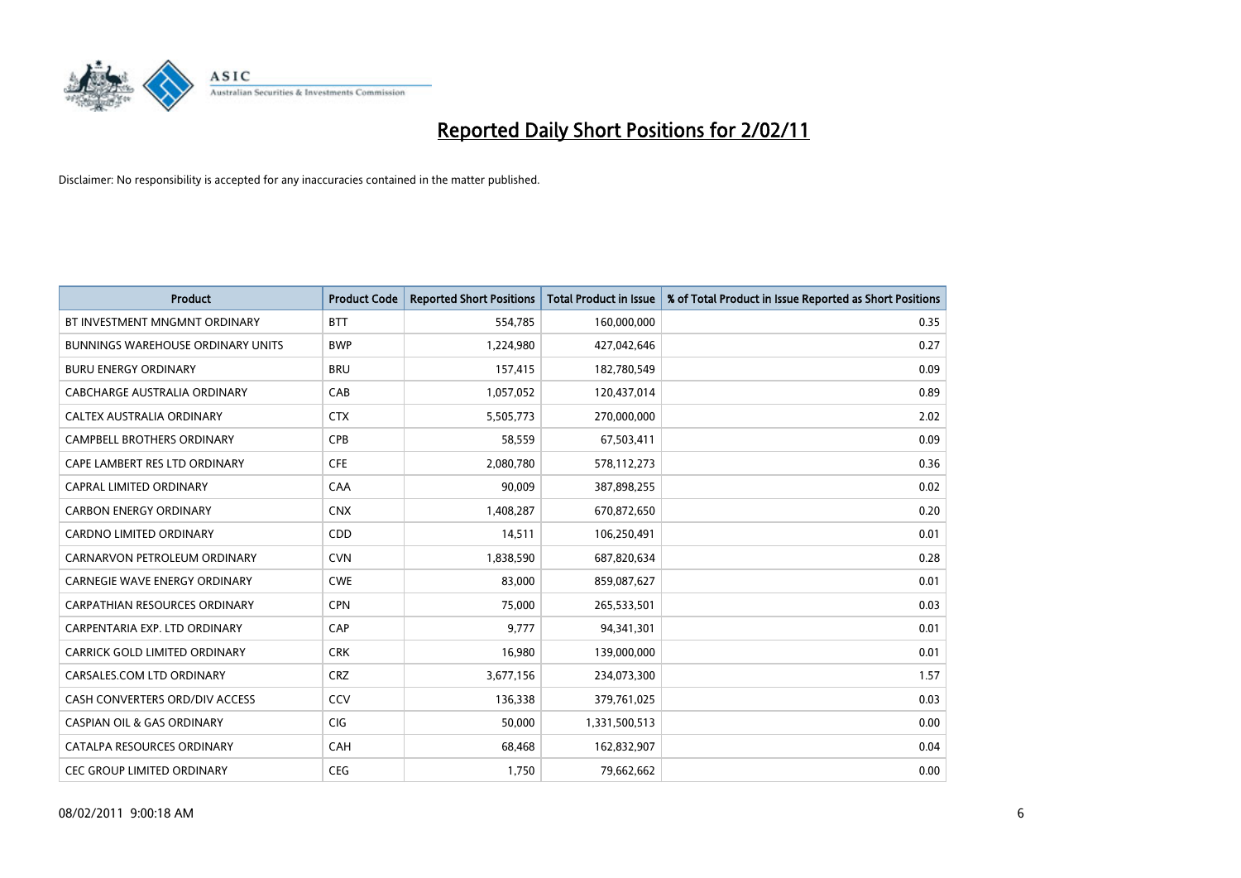

| <b>Product</b>                           | <b>Product Code</b> | <b>Reported Short Positions</b> | <b>Total Product in Issue</b> | % of Total Product in Issue Reported as Short Positions |
|------------------------------------------|---------------------|---------------------------------|-------------------------------|---------------------------------------------------------|
| BT INVESTMENT MNGMNT ORDINARY            | <b>BTT</b>          | 554,785                         | 160,000,000                   | 0.35                                                    |
| <b>BUNNINGS WAREHOUSE ORDINARY UNITS</b> | <b>BWP</b>          | 1,224,980                       | 427,042,646                   | 0.27                                                    |
| <b>BURU ENERGY ORDINARY</b>              | <b>BRU</b>          | 157,415                         | 182,780,549                   | 0.09                                                    |
| CABCHARGE AUSTRALIA ORDINARY             | CAB                 | 1,057,052                       | 120,437,014                   | 0.89                                                    |
| CALTEX AUSTRALIA ORDINARY                | <b>CTX</b>          | 5,505,773                       | 270,000,000                   | 2.02                                                    |
| <b>CAMPBELL BROTHERS ORDINARY</b>        | CPB                 | 58,559                          | 67,503,411                    | 0.09                                                    |
| CAPE LAMBERT RES LTD ORDINARY            | <b>CFE</b>          | 2,080,780                       | 578,112,273                   | 0.36                                                    |
| <b>CAPRAL LIMITED ORDINARY</b>           | CAA                 | 90,009                          | 387,898,255                   | 0.02                                                    |
| <b>CARBON ENERGY ORDINARY</b>            | <b>CNX</b>          | 1,408,287                       | 670,872,650                   | 0.20                                                    |
| <b>CARDNO LIMITED ORDINARY</b>           | CDD                 | 14,511                          | 106,250,491                   | 0.01                                                    |
| CARNARVON PETROLEUM ORDINARY             | <b>CVN</b>          | 1,838,590                       | 687,820,634                   | 0.28                                                    |
| CARNEGIE WAVE ENERGY ORDINARY            | <b>CWE</b>          | 83,000                          | 859,087,627                   | 0.01                                                    |
| <b>CARPATHIAN RESOURCES ORDINARY</b>     | <b>CPN</b>          | 75.000                          | 265,533,501                   | 0.03                                                    |
| CARPENTARIA EXP. LTD ORDINARY            | CAP                 | 9.777                           | 94,341,301                    | 0.01                                                    |
| CARRICK GOLD LIMITED ORDINARY            | <b>CRK</b>          | 16,980                          | 139,000,000                   | 0.01                                                    |
| CARSALES.COM LTD ORDINARY                | <b>CRZ</b>          | 3,677,156                       | 234,073,300                   | 1.57                                                    |
| CASH CONVERTERS ORD/DIV ACCESS           | CCV                 | 136,338                         | 379,761,025                   | 0.03                                                    |
| <b>CASPIAN OIL &amp; GAS ORDINARY</b>    | CIG                 | 50,000                          | 1,331,500,513                 | 0.00                                                    |
| CATALPA RESOURCES ORDINARY               | CAH                 | 68,468                          | 162,832,907                   | 0.04                                                    |
| <b>CEC GROUP LIMITED ORDINARY</b>        | <b>CEG</b>          | 1,750                           | 79,662,662                    | 0.00                                                    |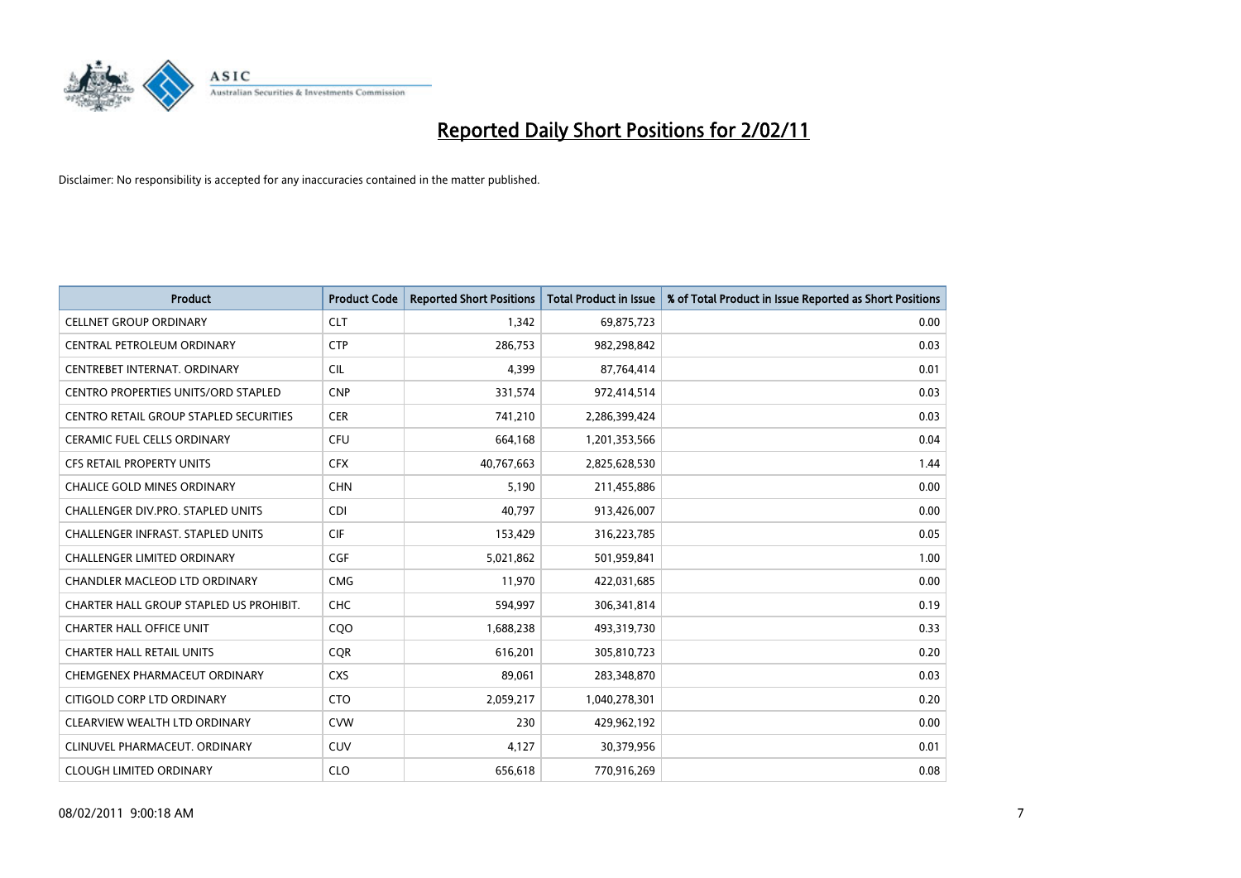

| <b>Product</b>                                | <b>Product Code</b> | <b>Reported Short Positions</b> | <b>Total Product in Issue</b> | % of Total Product in Issue Reported as Short Positions |
|-----------------------------------------------|---------------------|---------------------------------|-------------------------------|---------------------------------------------------------|
| <b>CELLNET GROUP ORDINARY</b>                 | <b>CLT</b>          | 1,342                           | 69,875,723                    | 0.00                                                    |
| CENTRAL PETROLEUM ORDINARY                    | <b>CTP</b>          | 286,753                         | 982,298,842                   | 0.03                                                    |
| CENTREBET INTERNAT, ORDINARY                  | <b>CIL</b>          | 4,399                           | 87,764,414                    | 0.01                                                    |
| CENTRO PROPERTIES UNITS/ORD STAPLED           | <b>CNP</b>          | 331,574                         | 972,414,514                   | 0.03                                                    |
| <b>CENTRO RETAIL GROUP STAPLED SECURITIES</b> | <b>CER</b>          | 741,210                         | 2,286,399,424                 | 0.03                                                    |
| <b>CERAMIC FUEL CELLS ORDINARY</b>            | <b>CFU</b>          | 664,168                         | 1,201,353,566                 | 0.04                                                    |
| <b>CFS RETAIL PROPERTY UNITS</b>              | <b>CFX</b>          | 40,767,663                      | 2,825,628,530                 | 1.44                                                    |
| <b>CHALICE GOLD MINES ORDINARY</b>            | <b>CHN</b>          | 5,190                           | 211,455,886                   | 0.00                                                    |
| <b>CHALLENGER DIV.PRO. STAPLED UNITS</b>      | <b>CDI</b>          | 40,797                          | 913,426,007                   | 0.00                                                    |
| <b>CHALLENGER INFRAST, STAPLED UNITS</b>      | <b>CIF</b>          | 153,429                         | 316,223,785                   | 0.05                                                    |
| <b>CHALLENGER LIMITED ORDINARY</b>            | <b>CGF</b>          | 5,021,862                       | 501,959,841                   | 1.00                                                    |
| <b>CHANDLER MACLEOD LTD ORDINARY</b>          | <b>CMG</b>          | 11,970                          | 422,031,685                   | 0.00                                                    |
| CHARTER HALL GROUP STAPLED US PROHIBIT.       | CHC                 | 594,997                         | 306,341,814                   | 0.19                                                    |
| <b>CHARTER HALL OFFICE UNIT</b>               | COO                 | 1,688,238                       | 493,319,730                   | 0.33                                                    |
| <b>CHARTER HALL RETAIL UNITS</b>              | <b>COR</b>          | 616,201                         | 305,810,723                   | 0.20                                                    |
| CHEMGENEX PHARMACEUT ORDINARY                 | <b>CXS</b>          | 89,061                          | 283,348,870                   | 0.03                                                    |
| CITIGOLD CORP LTD ORDINARY                    | <b>CTO</b>          | 2,059,217                       | 1,040,278,301                 | 0.20                                                    |
| CLEARVIEW WEALTH LTD ORDINARY                 | <b>CVW</b>          | 230                             | 429,962,192                   | 0.00                                                    |
| CLINUVEL PHARMACEUT, ORDINARY                 | <b>CUV</b>          | 4,127                           | 30,379,956                    | 0.01                                                    |
| <b>CLOUGH LIMITED ORDINARY</b>                | <b>CLO</b>          | 656,618                         | 770,916,269                   | 0.08                                                    |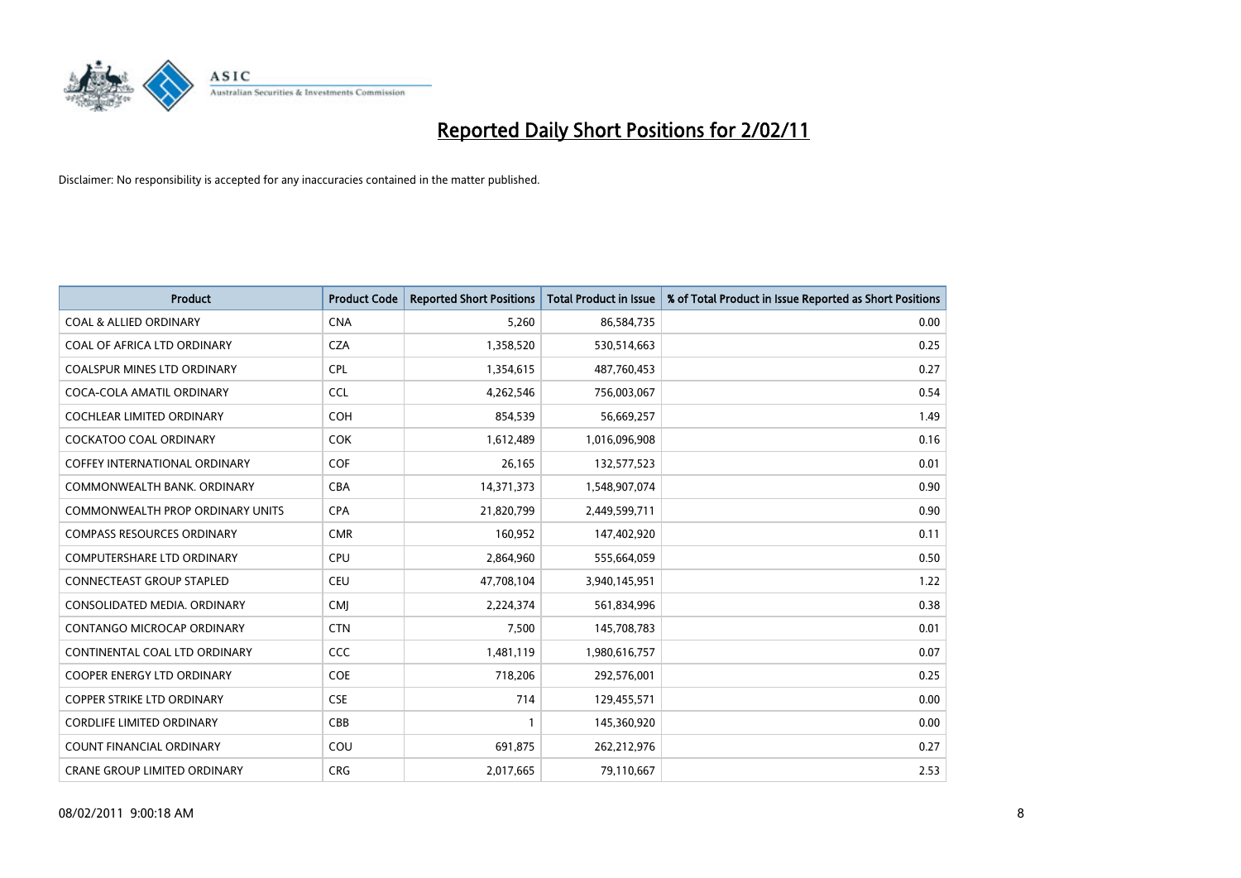

| <b>Product</b>                       | <b>Product Code</b> | <b>Reported Short Positions</b> | Total Product in Issue | % of Total Product in Issue Reported as Short Positions |
|--------------------------------------|---------------------|---------------------------------|------------------------|---------------------------------------------------------|
| <b>COAL &amp; ALLIED ORDINARY</b>    | <b>CNA</b>          | 5,260                           | 86,584,735             | 0.00                                                    |
| COAL OF AFRICA LTD ORDINARY          | <b>CZA</b>          | 1,358,520                       | 530,514,663            | 0.25                                                    |
| <b>COALSPUR MINES LTD ORDINARY</b>   | <b>CPL</b>          | 1,354,615                       | 487,760,453            | 0.27                                                    |
| COCA-COLA AMATIL ORDINARY            | <b>CCL</b>          | 4,262,546                       | 756,003,067            | 0.54                                                    |
| <b>COCHLEAR LIMITED ORDINARY</b>     | <b>COH</b>          | 854.539                         | 56,669,257             | 1.49                                                    |
| <b>COCKATOO COAL ORDINARY</b>        | COK                 | 1,612,489                       | 1,016,096,908          | 0.16                                                    |
| <b>COFFEY INTERNATIONAL ORDINARY</b> | <b>COF</b>          | 26,165                          | 132,577,523            | 0.01                                                    |
| COMMONWEALTH BANK, ORDINARY          | <b>CBA</b>          | 14,371,373                      | 1,548,907,074          | 0.90                                                    |
| COMMONWEALTH PROP ORDINARY UNITS     | <b>CPA</b>          | 21,820,799                      | 2,449,599,711          | 0.90                                                    |
| <b>COMPASS RESOURCES ORDINARY</b>    | <b>CMR</b>          | 160,952                         | 147,402,920            | 0.11                                                    |
| <b>COMPUTERSHARE LTD ORDINARY</b>    | <b>CPU</b>          | 2,864,960                       | 555,664,059            | 0.50                                                    |
| CONNECTEAST GROUP STAPLED            | <b>CEU</b>          | 47,708,104                      | 3,940,145,951          | 1.22                                                    |
| CONSOLIDATED MEDIA, ORDINARY         | <b>CMI</b>          | 2,224,374                       | 561,834,996            | 0.38                                                    |
| CONTANGO MICROCAP ORDINARY           | <b>CTN</b>          | 7,500                           | 145,708,783            | 0.01                                                    |
| CONTINENTAL COAL LTD ORDINARY        | <b>CCC</b>          | 1,481,119                       | 1,980,616,757          | 0.07                                                    |
| <b>COOPER ENERGY LTD ORDINARY</b>    | <b>COE</b>          | 718,206                         | 292,576,001            | 0.25                                                    |
| <b>COPPER STRIKE LTD ORDINARY</b>    | <b>CSE</b>          | 714                             | 129,455,571            | 0.00                                                    |
| <b>CORDLIFE LIMITED ORDINARY</b>     | CBB                 |                                 | 145,360,920            | 0.00                                                    |
| <b>COUNT FINANCIAL ORDINARY</b>      | COU                 | 691,875                         | 262,212,976            | 0.27                                                    |
| <b>CRANE GROUP LIMITED ORDINARY</b>  | <b>CRG</b>          | 2,017,665                       | 79,110,667             | 2.53                                                    |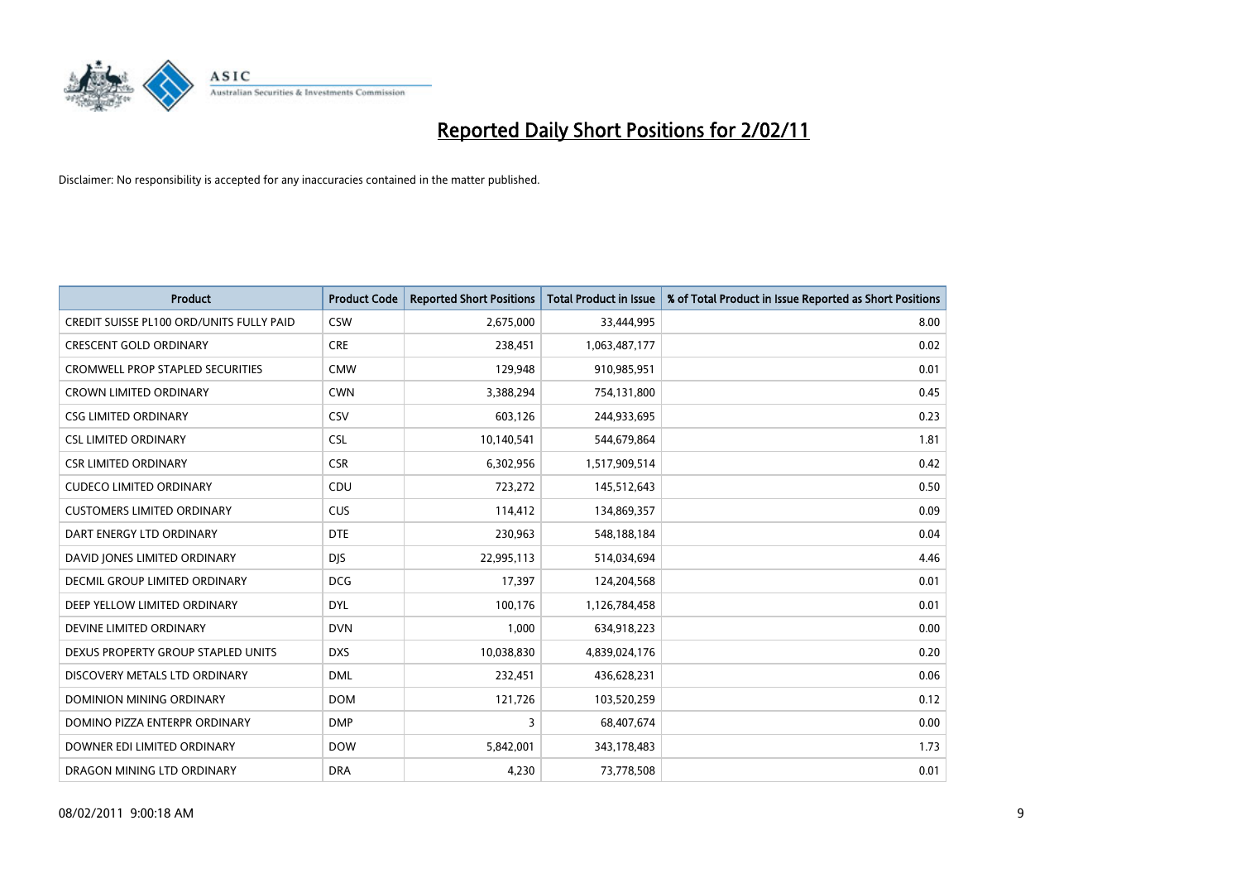

| Product                                         | <b>Product Code</b> | <b>Reported Short Positions</b> | <b>Total Product in Issue</b> | % of Total Product in Issue Reported as Short Positions |
|-------------------------------------------------|---------------------|---------------------------------|-------------------------------|---------------------------------------------------------|
| <b>CREDIT SUISSE PL100 ORD/UNITS FULLY PAID</b> | <b>CSW</b>          | 2,675,000                       | 33,444,995                    | 8.00                                                    |
| <b>CRESCENT GOLD ORDINARY</b>                   | <b>CRE</b>          | 238,451                         | 1,063,487,177                 | 0.02                                                    |
| <b>CROMWELL PROP STAPLED SECURITIES</b>         | <b>CMW</b>          | 129,948                         | 910,985,951                   | 0.01                                                    |
| <b>CROWN LIMITED ORDINARY</b>                   | <b>CWN</b>          | 3,388,294                       | 754,131,800                   | 0.45                                                    |
| <b>CSG LIMITED ORDINARY</b>                     | CSV                 | 603,126                         | 244,933,695                   | 0.23                                                    |
| <b>CSL LIMITED ORDINARY</b>                     | <b>CSL</b>          | 10,140,541                      | 544,679,864                   | 1.81                                                    |
| <b>CSR LIMITED ORDINARY</b>                     | <b>CSR</b>          | 6,302,956                       | 1,517,909,514                 | 0.42                                                    |
| <b>CUDECO LIMITED ORDINARY</b>                  | CDU                 | 723,272                         | 145,512,643                   | 0.50                                                    |
| <b>CUSTOMERS LIMITED ORDINARY</b>               | <b>CUS</b>          | 114,412                         | 134,869,357                   | 0.09                                                    |
| DART ENERGY LTD ORDINARY                        | <b>DTE</b>          | 230,963                         | 548,188,184                   | 0.04                                                    |
| DAVID JONES LIMITED ORDINARY                    | <b>DJS</b>          | 22,995,113                      | 514,034,694                   | 4.46                                                    |
| <b>DECMIL GROUP LIMITED ORDINARY</b>            | <b>DCG</b>          | 17,397                          | 124,204,568                   | 0.01                                                    |
| DEEP YELLOW LIMITED ORDINARY                    | <b>DYL</b>          | 100,176                         | 1,126,784,458                 | 0.01                                                    |
| DEVINE LIMITED ORDINARY                         | <b>DVN</b>          | 1,000                           | 634,918,223                   | 0.00                                                    |
| DEXUS PROPERTY GROUP STAPLED UNITS              | <b>DXS</b>          | 10,038,830                      | 4,839,024,176                 | 0.20                                                    |
| DISCOVERY METALS LTD ORDINARY                   | <b>DML</b>          | 232,451                         | 436,628,231                   | 0.06                                                    |
| DOMINION MINING ORDINARY                        | <b>DOM</b>          | 121,726                         | 103,520,259                   | 0.12                                                    |
| DOMINO PIZZA ENTERPR ORDINARY                   | <b>DMP</b>          | 3                               | 68,407,674                    | 0.00                                                    |
| DOWNER EDI LIMITED ORDINARY                     | <b>DOW</b>          | 5,842,001                       | 343,178,483                   | 1.73                                                    |
| DRAGON MINING LTD ORDINARY                      | <b>DRA</b>          | 4.230                           | 73,778,508                    | 0.01                                                    |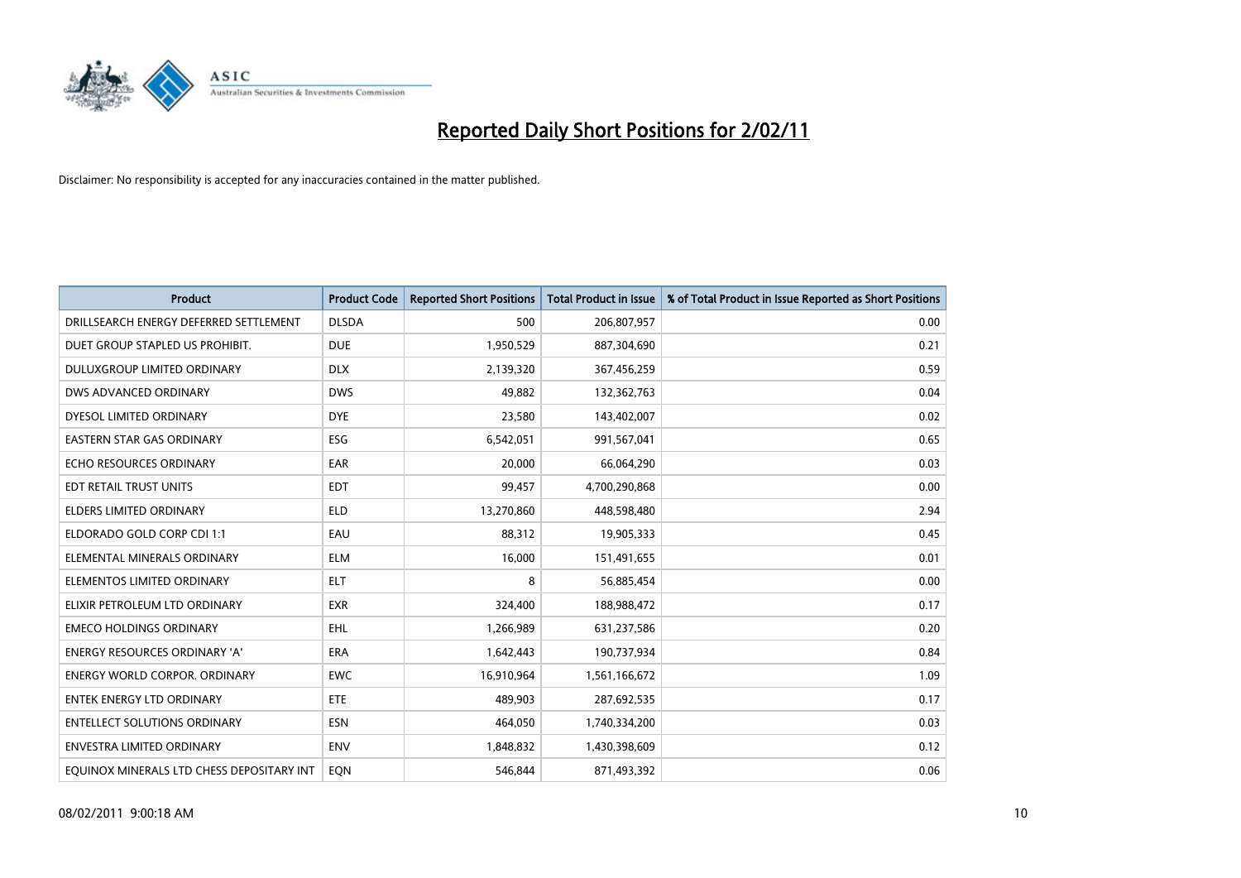

| Product                                   | <b>Product Code</b> | <b>Reported Short Positions</b> | <b>Total Product in Issue</b> | % of Total Product in Issue Reported as Short Positions |
|-------------------------------------------|---------------------|---------------------------------|-------------------------------|---------------------------------------------------------|
| DRILLSEARCH ENERGY DEFERRED SETTLEMENT    | <b>DLSDA</b>        | 500                             | 206,807,957                   | 0.00                                                    |
| DUET GROUP STAPLED US PROHIBIT.           | <b>DUE</b>          | 1,950,529                       | 887,304,690                   | 0.21                                                    |
| <b>DULUXGROUP LIMITED ORDINARY</b>        | <b>DLX</b>          | 2,139,320                       | 367,456,259                   | 0.59                                                    |
| DWS ADVANCED ORDINARY                     | <b>DWS</b>          | 49,882                          | 132,362,763                   | 0.04                                                    |
| DYESOL LIMITED ORDINARY                   | <b>DYE</b>          | 23,580                          | 143,402,007                   | 0.02                                                    |
| EASTERN STAR GAS ORDINARY                 | ESG                 | 6,542,051                       | 991,567,041                   | 0.65                                                    |
| ECHO RESOURCES ORDINARY                   | EAR                 | 20,000                          | 66,064,290                    | 0.03                                                    |
| EDT RETAIL TRUST UNITS                    | <b>EDT</b>          | 99,457                          | 4,700,290,868                 | 0.00                                                    |
| ELDERS LIMITED ORDINARY                   | <b>ELD</b>          | 13,270,860                      | 448,598,480                   | 2.94                                                    |
| ELDORADO GOLD CORP CDI 1:1                | EAU                 | 88,312                          | 19,905,333                    | 0.45                                                    |
| ELEMENTAL MINERALS ORDINARY               | <b>ELM</b>          | 16,000                          | 151,491,655                   | 0.01                                                    |
| ELEMENTOS LIMITED ORDINARY                | <b>ELT</b>          | 8                               | 56,885,454                    | 0.00                                                    |
| ELIXIR PETROLEUM LTD ORDINARY             | <b>EXR</b>          | 324,400                         | 188,988,472                   | 0.17                                                    |
| <b>EMECO HOLDINGS ORDINARY</b>            | <b>EHL</b>          | 1,266,989                       | 631,237,586                   | 0.20                                                    |
| <b>ENERGY RESOURCES ORDINARY 'A'</b>      | <b>ERA</b>          | 1,642,443                       | 190,737,934                   | 0.84                                                    |
| <b>ENERGY WORLD CORPOR. ORDINARY</b>      | <b>EWC</b>          | 16,910,964                      | 1,561,166,672                 | 1.09                                                    |
| <b>ENTEK ENERGY LTD ORDINARY</b>          | <b>ETE</b>          | 489,903                         | 287,692,535                   | 0.17                                                    |
| <b>ENTELLECT SOLUTIONS ORDINARY</b>       | <b>ESN</b>          | 464,050                         | 1,740,334,200                 | 0.03                                                    |
| <b>ENVESTRA LIMITED ORDINARY</b>          | <b>ENV</b>          | 1,848,832                       | 1,430,398,609                 | 0.12                                                    |
| EQUINOX MINERALS LTD CHESS DEPOSITARY INT | EQN                 | 546.844                         | 871,493,392                   | 0.06                                                    |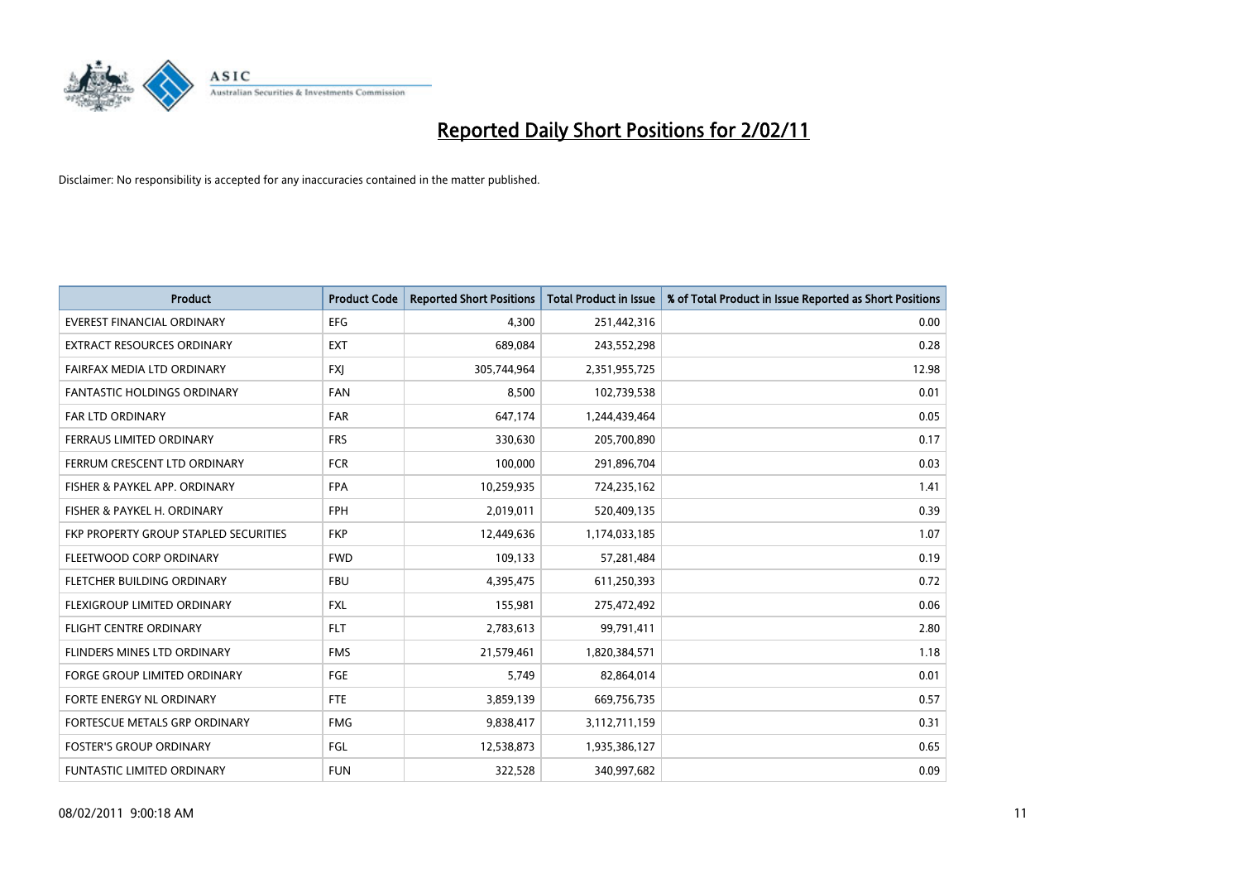

| Product                                      | <b>Product Code</b> | <b>Reported Short Positions</b> | <b>Total Product in Issue</b> | % of Total Product in Issue Reported as Short Positions |
|----------------------------------------------|---------------------|---------------------------------|-------------------------------|---------------------------------------------------------|
| <b>EVEREST FINANCIAL ORDINARY</b>            | <b>EFG</b>          | 4,300                           | 251,442,316                   | 0.00                                                    |
| EXTRACT RESOURCES ORDINARY                   | <b>EXT</b>          | 689,084                         | 243,552,298                   | 0.28                                                    |
| FAIRFAX MEDIA LTD ORDINARY                   | <b>FXI</b>          | 305,744,964                     | 2,351,955,725                 | 12.98                                                   |
| FANTASTIC HOLDINGS ORDINARY                  | <b>FAN</b>          | 8,500                           | 102,739,538                   | 0.01                                                    |
| <b>FAR LTD ORDINARY</b>                      | <b>FAR</b>          | 647,174                         | 1,244,439,464                 | 0.05                                                    |
| FERRAUS LIMITED ORDINARY                     | <b>FRS</b>          | 330,630                         | 205,700,890                   | 0.17                                                    |
| FERRUM CRESCENT LTD ORDINARY                 | <b>FCR</b>          | 100,000                         | 291,896,704                   | 0.03                                                    |
| FISHER & PAYKEL APP. ORDINARY                | <b>FPA</b>          | 10,259,935                      | 724,235,162                   | 1.41                                                    |
| FISHER & PAYKEL H. ORDINARY                  | <b>FPH</b>          | 2,019,011                       | 520,409,135                   | 0.39                                                    |
| <b>FKP PROPERTY GROUP STAPLED SECURITIES</b> | <b>FKP</b>          | 12,449,636                      | 1,174,033,185                 | 1.07                                                    |
| FLEETWOOD CORP ORDINARY                      | <b>FWD</b>          | 109,133                         | 57,281,484                    | 0.19                                                    |
| FLETCHER BUILDING ORDINARY                   | <b>FBU</b>          | 4,395,475                       | 611,250,393                   | 0.72                                                    |
| FLEXIGROUP LIMITED ORDINARY                  | <b>FXL</b>          | 155,981                         | 275,472,492                   | 0.06                                                    |
| <b>FLIGHT CENTRE ORDINARY</b>                | <b>FLT</b>          | 2,783,613                       | 99,791,411                    | 2.80                                                    |
| <b>FLINDERS MINES LTD ORDINARY</b>           | <b>FMS</b>          | 21,579,461                      | 1,820,384,571                 | 1.18                                                    |
| FORGE GROUP LIMITED ORDINARY                 | FGE                 | 5.749                           | 82,864,014                    | 0.01                                                    |
| FORTE ENERGY NL ORDINARY                     | <b>FTE</b>          | 3,859,139                       | 669,756,735                   | 0.57                                                    |
| FORTESCUE METALS GRP ORDINARY                | <b>FMG</b>          | 9,838,417                       | 3,112,711,159                 | 0.31                                                    |
| <b>FOSTER'S GROUP ORDINARY</b>               | FGL                 | 12,538,873                      | 1,935,386,127                 | 0.65                                                    |
| FUNTASTIC LIMITED ORDINARY                   | <b>FUN</b>          | 322,528                         | 340,997,682                   | 0.09                                                    |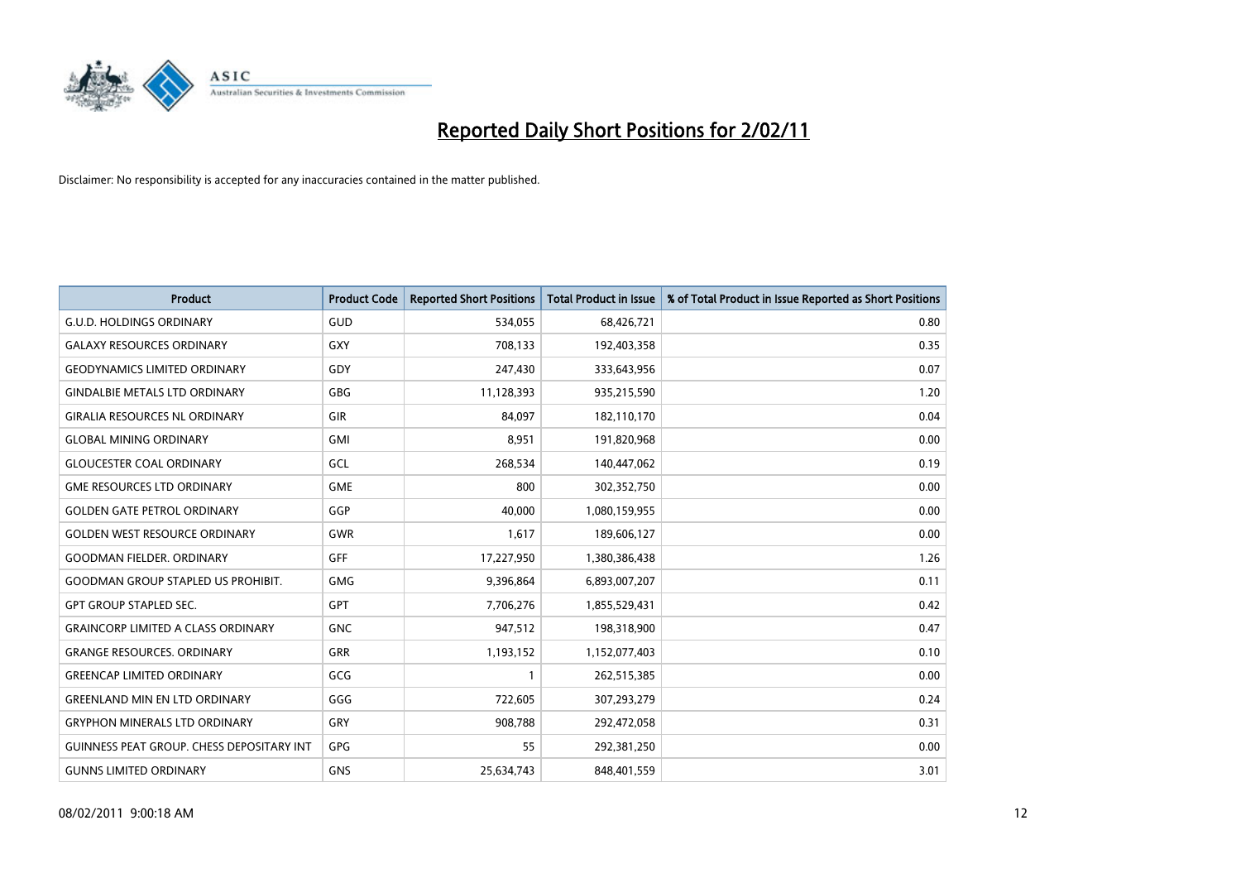

| <b>Product</b>                                   | <b>Product Code</b> | <b>Reported Short Positions</b> | Total Product in Issue | % of Total Product in Issue Reported as Short Positions |
|--------------------------------------------------|---------------------|---------------------------------|------------------------|---------------------------------------------------------|
| <b>G.U.D. HOLDINGS ORDINARY</b>                  | GUD                 | 534,055                         | 68,426,721             | 0.80                                                    |
| <b>GALAXY RESOURCES ORDINARY</b>                 | GXY                 | 708,133                         | 192,403,358            | 0.35                                                    |
| <b>GEODYNAMICS LIMITED ORDINARY</b>              | GDY                 | 247,430                         | 333,643,956            | 0.07                                                    |
| <b>GINDALBIE METALS LTD ORDINARY</b>             | <b>GBG</b>          | 11,128,393                      | 935,215,590            | 1.20                                                    |
| <b>GIRALIA RESOURCES NL ORDINARY</b>             | GIR                 | 84.097                          | 182,110,170            | 0.04                                                    |
| <b>GLOBAL MINING ORDINARY</b>                    | <b>GMI</b>          | 8,951                           | 191,820,968            | 0.00                                                    |
| <b>GLOUCESTER COAL ORDINARY</b>                  | GCL                 | 268,534                         | 140,447,062            | 0.19                                                    |
| <b>GME RESOURCES LTD ORDINARY</b>                | <b>GME</b>          | 800                             | 302,352,750            | 0.00                                                    |
| <b>GOLDEN GATE PETROL ORDINARY</b>               | <b>GGP</b>          | 40,000                          | 1,080,159,955          | 0.00                                                    |
| <b>GOLDEN WEST RESOURCE ORDINARY</b>             | <b>GWR</b>          | 1,617                           | 189,606,127            | 0.00                                                    |
| <b>GOODMAN FIELDER, ORDINARY</b>                 | GFF                 | 17,227,950                      | 1,380,386,438          | 1.26                                                    |
| <b>GOODMAN GROUP STAPLED US PROHIBIT.</b>        | GMG                 | 9,396,864                       | 6,893,007,207          | 0.11                                                    |
| <b>GPT GROUP STAPLED SEC.</b>                    | <b>GPT</b>          | 7,706,276                       | 1,855,529,431          | 0.42                                                    |
| <b>GRAINCORP LIMITED A CLASS ORDINARY</b>        | <b>GNC</b>          | 947,512                         | 198,318,900            | 0.47                                                    |
| <b>GRANGE RESOURCES, ORDINARY</b>                | <b>GRR</b>          | 1,193,152                       | 1,152,077,403          | 0.10                                                    |
| <b>GREENCAP LIMITED ORDINARY</b>                 | GCG                 |                                 | 262,515,385            | 0.00                                                    |
| <b>GREENLAND MIN EN LTD ORDINARY</b>             | GGG                 | 722,605                         | 307,293,279            | 0.24                                                    |
| <b>GRYPHON MINERALS LTD ORDINARY</b>             | GRY                 | 908,788                         | 292,472,058            | 0.31                                                    |
| <b>GUINNESS PEAT GROUP. CHESS DEPOSITARY INT</b> | <b>GPG</b>          | 55                              | 292,381,250            | 0.00                                                    |
| <b>GUNNS LIMITED ORDINARY</b>                    | <b>GNS</b>          | 25,634,743                      | 848,401,559            | 3.01                                                    |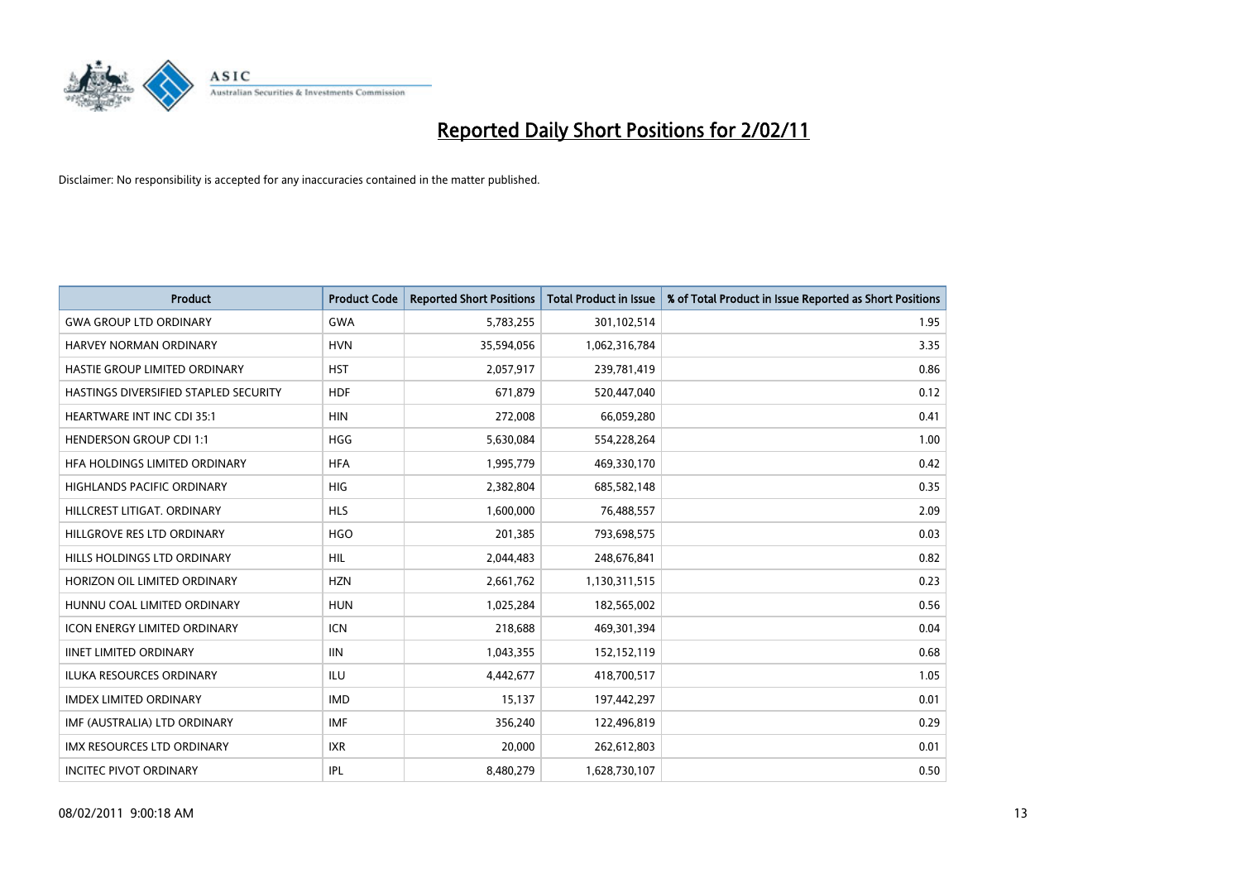

| <b>Product</b>                        | <b>Product Code</b> | <b>Reported Short Positions</b> | Total Product in Issue | % of Total Product in Issue Reported as Short Positions |
|---------------------------------------|---------------------|---------------------------------|------------------------|---------------------------------------------------------|
| <b>GWA GROUP LTD ORDINARY</b>         | <b>GWA</b>          | 5,783,255                       | 301,102,514            | 1.95                                                    |
| HARVEY NORMAN ORDINARY                | <b>HVN</b>          | 35,594,056                      | 1,062,316,784          | 3.35                                                    |
| <b>HASTIE GROUP LIMITED ORDINARY</b>  | <b>HST</b>          | 2,057,917                       | 239,781,419            | 0.86                                                    |
| HASTINGS DIVERSIFIED STAPLED SECURITY | <b>HDF</b>          | 671,879                         | 520,447,040            | 0.12                                                    |
| <b>HEARTWARE INT INC CDI 35:1</b>     | <b>HIN</b>          | 272,008                         | 66,059,280             | 0.41                                                    |
| <b>HENDERSON GROUP CDI 1:1</b>        | <b>HGG</b>          | 5,630,084                       | 554,228,264            | 1.00                                                    |
| HFA HOLDINGS LIMITED ORDINARY         | <b>HFA</b>          | 1,995,779                       | 469,330,170            | 0.42                                                    |
| HIGHLANDS PACIFIC ORDINARY            | HIG                 | 2,382,804                       | 685,582,148            | 0.35                                                    |
| HILLCREST LITIGAT, ORDINARY           | <b>HLS</b>          | 1,600,000                       | 76,488,557             | 2.09                                                    |
| HILLGROVE RES LTD ORDINARY            | <b>HGO</b>          | 201,385                         | 793,698,575            | 0.03                                                    |
| HILLS HOLDINGS LTD ORDINARY           | <b>HIL</b>          | 2,044,483                       | 248,676,841            | 0.82                                                    |
| HORIZON OIL LIMITED ORDINARY          | <b>HZN</b>          | 2,661,762                       | 1,130,311,515          | 0.23                                                    |
| HUNNU COAL LIMITED ORDINARY           | <b>HUN</b>          | 1,025,284                       | 182,565,002            | 0.56                                                    |
| <b>ICON ENERGY LIMITED ORDINARY</b>   | <b>ICN</b>          | 218,688                         | 469,301,394            | 0.04                                                    |
| <b>IINET LIMITED ORDINARY</b>         | <b>IIN</b>          | 1,043,355                       | 152,152,119            | 0.68                                                    |
| <b>ILUKA RESOURCES ORDINARY</b>       | ILU                 | 4,442,677                       | 418,700,517            | 1.05                                                    |
| <b>IMDEX LIMITED ORDINARY</b>         | <b>IMD</b>          | 15,137                          | 197,442,297            | 0.01                                                    |
| IMF (AUSTRALIA) LTD ORDINARY          | <b>IMF</b>          | 356,240                         | 122,496,819            | 0.29                                                    |
| <b>IMX RESOURCES LTD ORDINARY</b>     | <b>IXR</b>          | 20,000                          | 262,612,803            | 0.01                                                    |
| <b>INCITEC PIVOT ORDINARY</b>         | <b>IPL</b>          | 8,480,279                       | 1,628,730,107          | 0.50                                                    |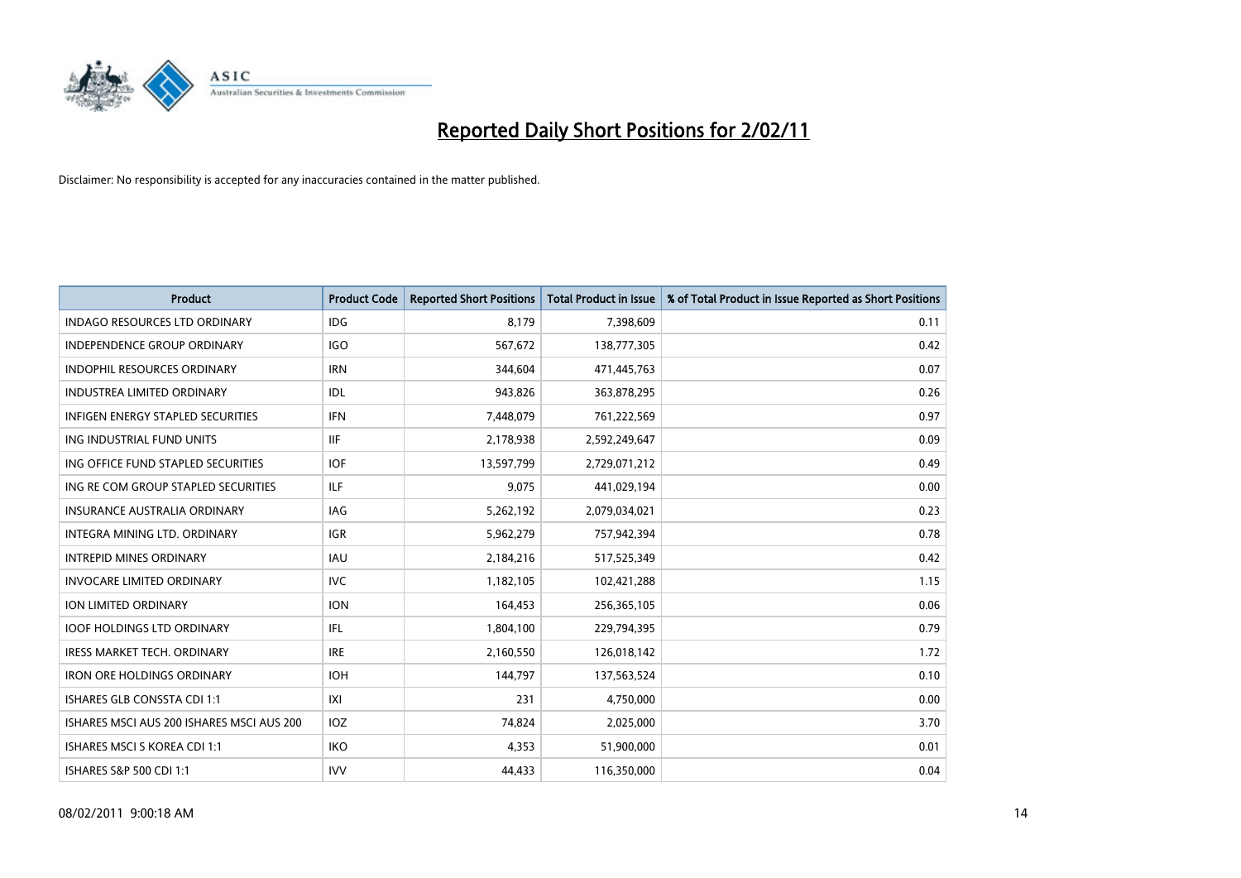

| Product                                   | <b>Product Code</b> | <b>Reported Short Positions</b> | <b>Total Product in Issue</b> | % of Total Product in Issue Reported as Short Positions |
|-------------------------------------------|---------------------|---------------------------------|-------------------------------|---------------------------------------------------------|
| <b>INDAGO RESOURCES LTD ORDINARY</b>      | <b>IDG</b>          | 8,179                           | 7,398,609                     | 0.11                                                    |
| <b>INDEPENDENCE GROUP ORDINARY</b>        | <b>IGO</b>          | 567,672                         | 138,777,305                   | 0.42                                                    |
| <b>INDOPHIL RESOURCES ORDINARY</b>        | <b>IRN</b>          | 344,604                         | 471,445,763                   | 0.07                                                    |
| INDUSTREA LIMITED ORDINARY                | IDL                 | 943,826                         | 363,878,295                   | 0.26                                                    |
| <b>INFIGEN ENERGY STAPLED SECURITIES</b>  | <b>IFN</b>          | 7,448,079                       | 761,222,569                   | 0.97                                                    |
| ING INDUSTRIAL FUND UNITS                 | <b>IIF</b>          | 2,178,938                       | 2,592,249,647                 | 0.09                                                    |
| ING OFFICE FUND STAPLED SECURITIES        | <b>IOF</b>          | 13,597,799                      | 2,729,071,212                 | 0.49                                                    |
| ING RE COM GROUP STAPLED SECURITIES       | <b>ILF</b>          | 9,075                           | 441,029,194                   | 0.00                                                    |
| INSURANCE AUSTRALIA ORDINARY              | IAG                 | 5,262,192                       | 2,079,034,021                 | 0.23                                                    |
| INTEGRA MINING LTD, ORDINARY              | <b>IGR</b>          | 5,962,279                       | 757,942,394                   | 0.78                                                    |
| <b>INTREPID MINES ORDINARY</b>            | <b>IAU</b>          | 2,184,216                       | 517,525,349                   | 0.42                                                    |
| <b>INVOCARE LIMITED ORDINARY</b>          | <b>IVC</b>          | 1,182,105                       | 102,421,288                   | 1.15                                                    |
| ION LIMITED ORDINARY                      | <b>ION</b>          | 164,453                         | 256,365,105                   | 0.06                                                    |
| <b>IOOF HOLDINGS LTD ORDINARY</b>         | <b>IFL</b>          | 1,804,100                       | 229,794,395                   | 0.79                                                    |
| <b>IRESS MARKET TECH. ORDINARY</b>        | <b>IRE</b>          | 2,160,550                       | 126,018,142                   | 1.72                                                    |
| <b>IRON ORE HOLDINGS ORDINARY</b>         | <b>IOH</b>          | 144,797                         | 137,563,524                   | 0.10                                                    |
| <b>ISHARES GLB CONSSTA CDI 1:1</b>        | X                   | 231                             | 4,750,000                     | 0.00                                                    |
| ISHARES MSCI AUS 200 ISHARES MSCI AUS 200 | IOZ                 | 74,824                          | 2,025,000                     | 3.70                                                    |
| <b>ISHARES MSCI S KOREA CDI 1:1</b>       | <b>IKO</b>          | 4,353                           | 51,900,000                    | 0.01                                                    |
| ISHARES S&P 500 CDI 1:1                   | <b>IVV</b>          | 44.433                          | 116,350,000                   | 0.04                                                    |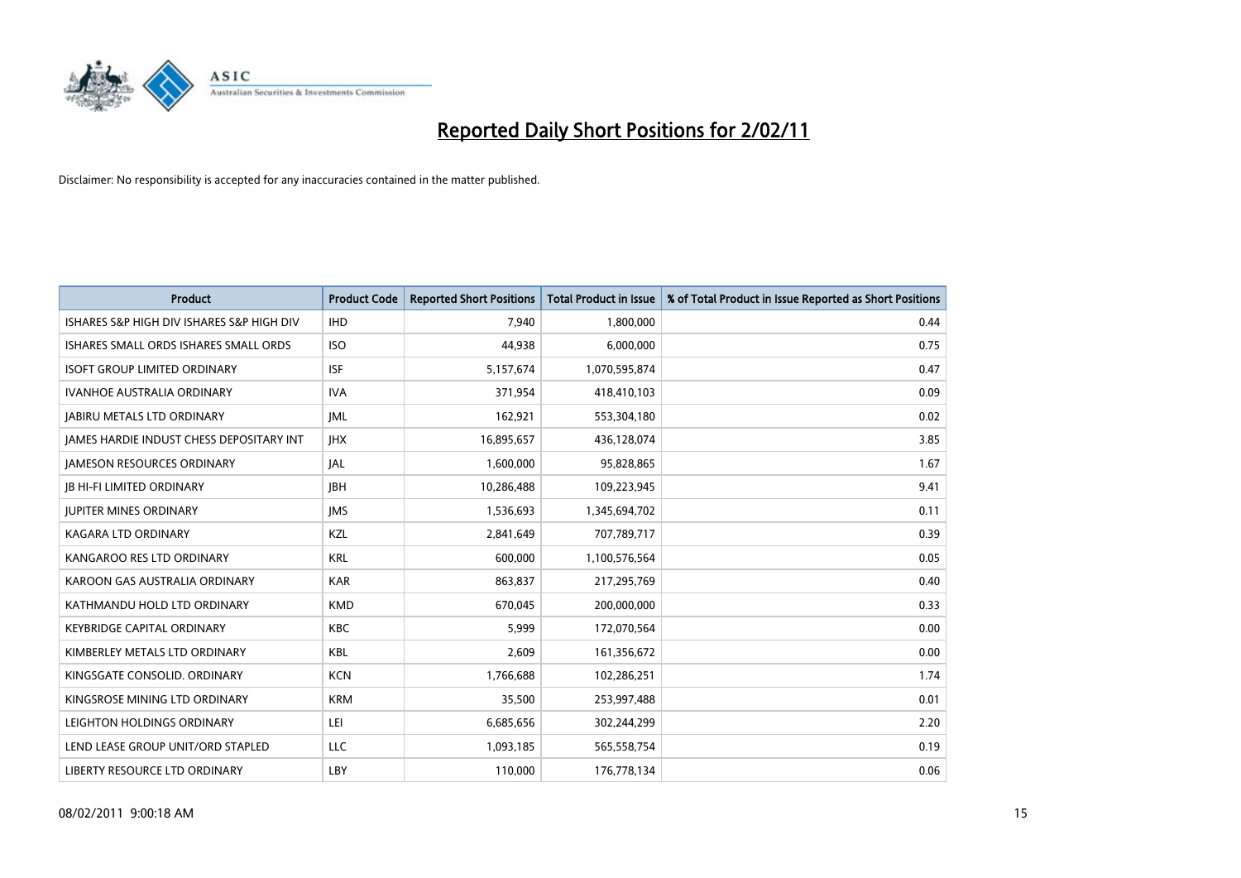

| <b>Product</b>                                  | <b>Product Code</b> | <b>Reported Short Positions</b> | Total Product in Issue | % of Total Product in Issue Reported as Short Positions |
|-------------------------------------------------|---------------------|---------------------------------|------------------------|---------------------------------------------------------|
| ISHARES S&P HIGH DIV ISHARES S&P HIGH DIV       | <b>IHD</b>          | 7,940                           | 1,800,000              | 0.44                                                    |
| ISHARES SMALL ORDS ISHARES SMALL ORDS           | <b>ISO</b>          | 44.938                          | 6,000,000              | 0.75                                                    |
| <b>ISOFT GROUP LIMITED ORDINARY</b>             | <b>ISF</b>          | 5,157,674                       | 1,070,595,874          | 0.47                                                    |
| IVANHOE AUSTRALIA ORDINARY                      | <b>IVA</b>          | 371,954                         | 418,410,103            | 0.09                                                    |
| <b>IABIRU METALS LTD ORDINARY</b>               | <b>IML</b>          | 162,921                         | 553,304,180            | 0.02                                                    |
| <b>JAMES HARDIE INDUST CHESS DEPOSITARY INT</b> | <b>IHX</b>          | 16,895,657                      | 436,128,074            | 3.85                                                    |
| <b>JAMESON RESOURCES ORDINARY</b>               | <b>JAL</b>          | 1,600,000                       | 95,828,865             | 1.67                                                    |
| <b>JB HI-FI LIMITED ORDINARY</b>                | <b>IBH</b>          | 10,286,488                      | 109,223,945            | 9.41                                                    |
| <b>JUPITER MINES ORDINARY</b>                   | <b>IMS</b>          | 1,536,693                       | 1,345,694,702          | 0.11                                                    |
| <b>KAGARA LTD ORDINARY</b>                      | KZL                 | 2,841,649                       | 707,789,717            | 0.39                                                    |
| KANGAROO RES LTD ORDINARY                       | <b>KRL</b>          | 600.000                         | 1,100,576,564          | 0.05                                                    |
| KAROON GAS AUSTRALIA ORDINARY                   | <b>KAR</b>          | 863,837                         | 217,295,769            | 0.40                                                    |
| KATHMANDU HOLD LTD ORDINARY                     | <b>KMD</b>          | 670,045                         | 200,000,000            | 0.33                                                    |
| <b>KEYBRIDGE CAPITAL ORDINARY</b>               | <b>KBC</b>          | 5.999                           | 172,070,564            | 0.00                                                    |
| KIMBERLEY METALS LTD ORDINARY                   | KBL                 | 2,609                           | 161,356,672            | 0.00                                                    |
| KINGSGATE CONSOLID. ORDINARY                    | <b>KCN</b>          | 1,766,688                       | 102,286,251            | 1.74                                                    |
| KINGSROSE MINING LTD ORDINARY                   | <b>KRM</b>          | 35,500                          | 253,997,488            | 0.01                                                    |
| LEIGHTON HOLDINGS ORDINARY                      | LEI                 | 6,685,656                       | 302,244,299            | 2.20                                                    |
| LEND LEASE GROUP UNIT/ORD STAPLED               | <b>LLC</b>          | 1,093,185                       | 565,558,754            | 0.19                                                    |
| LIBERTY RESOURCE LTD ORDINARY                   | LBY                 | 110.000                         | 176,778,134            | 0.06                                                    |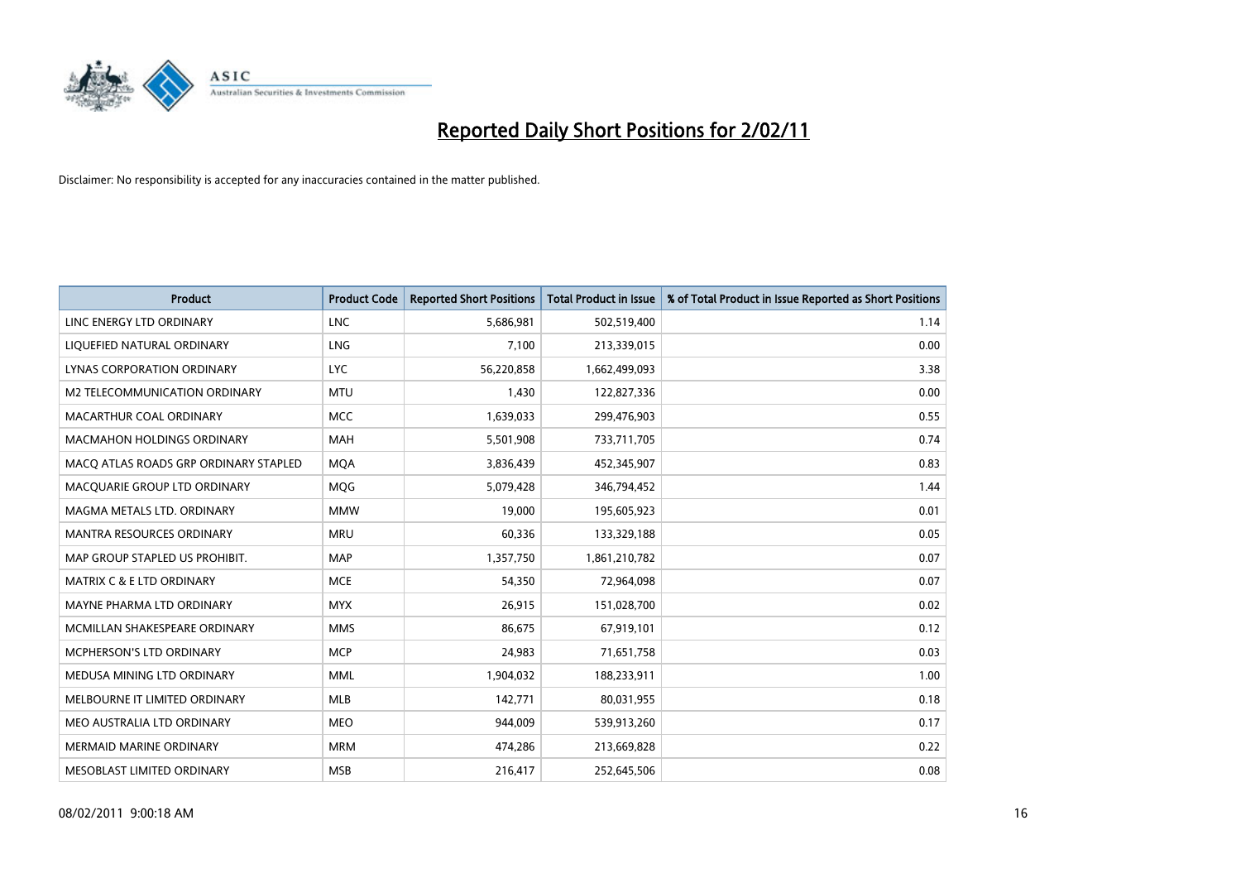

| <b>Product</b>                        | <b>Product Code</b> | <b>Reported Short Positions</b> | Total Product in Issue | % of Total Product in Issue Reported as Short Positions |
|---------------------------------------|---------------------|---------------------------------|------------------------|---------------------------------------------------------|
| LINC ENERGY LTD ORDINARY              | <b>LNC</b>          | 5,686,981                       | 502,519,400            | 1.14                                                    |
| LIQUEFIED NATURAL ORDINARY            | <b>LNG</b>          | 7,100                           | 213,339,015            | 0.00                                                    |
| LYNAS CORPORATION ORDINARY            | <b>LYC</b>          | 56,220,858                      | 1,662,499,093          | 3.38                                                    |
| M2 TELECOMMUNICATION ORDINARY         | <b>MTU</b>          | 1,430                           | 122,827,336            | 0.00                                                    |
| MACARTHUR COAL ORDINARY               | <b>MCC</b>          | 1,639,033                       | 299,476,903            | 0.55                                                    |
| <b>MACMAHON HOLDINGS ORDINARY</b>     | <b>MAH</b>          | 5,501,908                       | 733,711,705            | 0.74                                                    |
| MACQ ATLAS ROADS GRP ORDINARY STAPLED | <b>MQA</b>          | 3,836,439                       | 452,345,907            | 0.83                                                    |
| MACQUARIE GROUP LTD ORDINARY          | <b>MQG</b>          | 5,079,428                       | 346,794,452            | 1.44                                                    |
| MAGMA METALS LTD. ORDINARY            | <b>MMW</b>          | 19,000                          | 195,605,923            | 0.01                                                    |
| <b>MANTRA RESOURCES ORDINARY</b>      | <b>MRU</b>          | 60,336                          | 133,329,188            | 0.05                                                    |
| MAP GROUP STAPLED US PROHIBIT.        | <b>MAP</b>          | 1,357,750                       | 1,861,210,782          | 0.07                                                    |
| MATRIX C & E LTD ORDINARY             | <b>MCE</b>          | 54,350                          | 72,964,098             | 0.07                                                    |
| MAYNE PHARMA LTD ORDINARY             | <b>MYX</b>          | 26,915                          | 151,028,700            | 0.02                                                    |
| MCMILLAN SHAKESPEARE ORDINARY         | <b>MMS</b>          | 86.675                          | 67,919,101             | 0.12                                                    |
| <b>MCPHERSON'S LTD ORDINARY</b>       | <b>MCP</b>          | 24,983                          | 71,651,758             | 0.03                                                    |
| MEDUSA MINING LTD ORDINARY            | <b>MML</b>          | 1,904,032                       | 188,233,911            | 1.00                                                    |
| MELBOURNE IT LIMITED ORDINARY         | <b>MLB</b>          | 142,771                         | 80,031,955             | 0.18                                                    |
| MEO AUSTRALIA LTD ORDINARY            | <b>MEO</b>          | 944,009                         | 539,913,260            | 0.17                                                    |
| <b>MERMAID MARINE ORDINARY</b>        | <b>MRM</b>          | 474,286                         | 213,669,828            | 0.22                                                    |
| MESOBLAST LIMITED ORDINARY            | <b>MSB</b>          | 216,417                         | 252,645,506            | 0.08                                                    |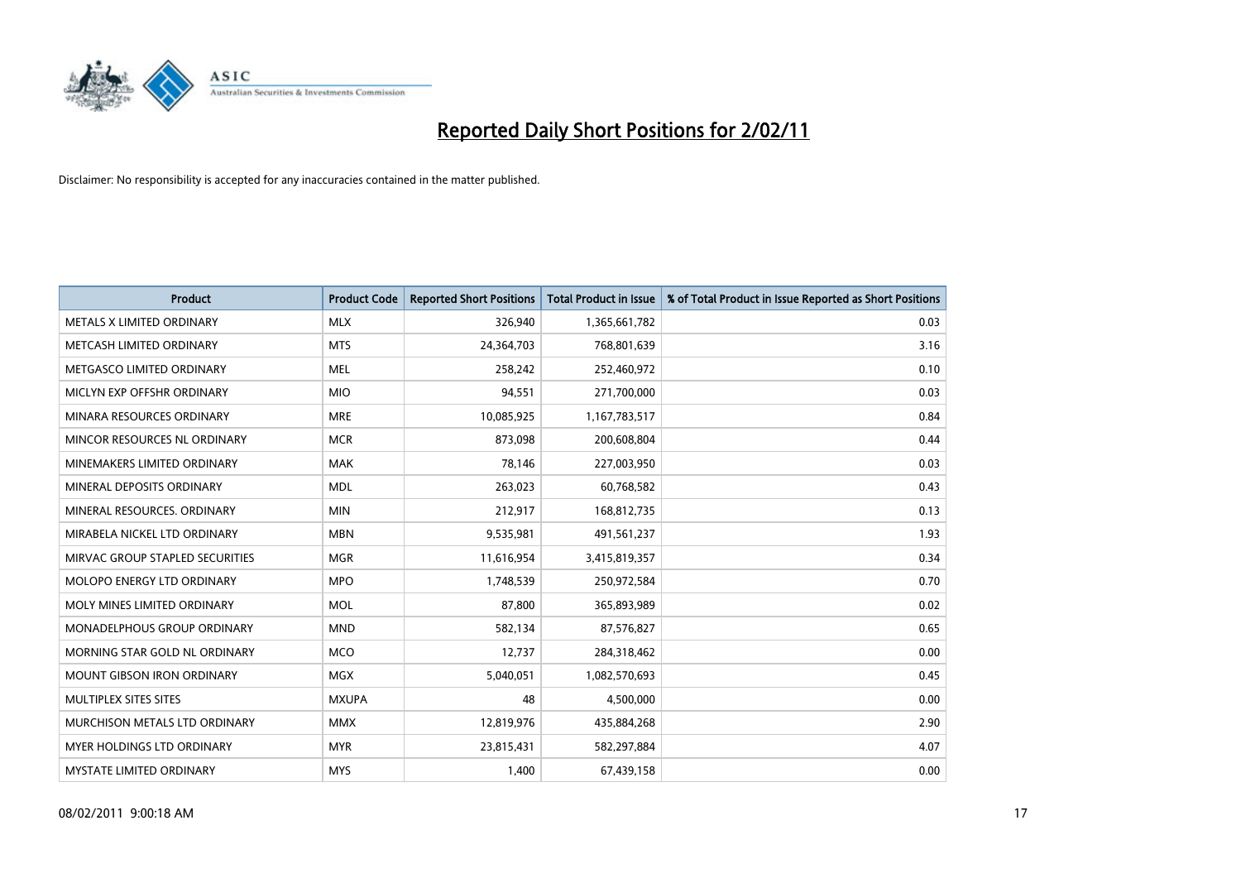

| <b>Product</b>                    | <b>Product Code</b> | <b>Reported Short Positions</b> | Total Product in Issue | % of Total Product in Issue Reported as Short Positions |
|-----------------------------------|---------------------|---------------------------------|------------------------|---------------------------------------------------------|
| METALS X LIMITED ORDINARY         | <b>MLX</b>          | 326,940                         | 1,365,661,782          | 0.03                                                    |
| METCASH LIMITED ORDINARY          | <b>MTS</b>          | 24,364,703                      | 768,801,639            | 3.16                                                    |
| METGASCO LIMITED ORDINARY         | <b>MEL</b>          | 258,242                         | 252,460,972            | 0.10                                                    |
| MICLYN EXP OFFSHR ORDINARY        | <b>MIO</b>          | 94,551                          | 271,700,000            | 0.03                                                    |
| MINARA RESOURCES ORDINARY         | <b>MRE</b>          | 10,085,925                      | 1,167,783,517          | 0.84                                                    |
| MINCOR RESOURCES NL ORDINARY      | <b>MCR</b>          | 873,098                         | 200,608,804            | 0.44                                                    |
| MINEMAKERS LIMITED ORDINARY       | <b>MAK</b>          | 78,146                          | 227,003,950            | 0.03                                                    |
| MINERAL DEPOSITS ORDINARY         | <b>MDL</b>          | 263,023                         | 60,768,582             | 0.43                                                    |
| MINERAL RESOURCES. ORDINARY       | <b>MIN</b>          | 212,917                         | 168,812,735            | 0.13                                                    |
| MIRABELA NICKEL LTD ORDINARY      | <b>MBN</b>          | 9,535,981                       | 491,561,237            | 1.93                                                    |
| MIRVAC GROUP STAPLED SECURITIES   | <b>MGR</b>          | 11,616,954                      | 3,415,819,357          | 0.34                                                    |
| <b>MOLOPO ENERGY LTD ORDINARY</b> | <b>MPO</b>          | 1,748,539                       | 250,972,584            | 0.70                                                    |
| MOLY MINES LIMITED ORDINARY       | <b>MOL</b>          | 87,800                          | 365,893,989            | 0.02                                                    |
| MONADELPHOUS GROUP ORDINARY       | <b>MND</b>          | 582,134                         | 87,576,827             | 0.65                                                    |
| MORNING STAR GOLD NL ORDINARY     | <b>MCO</b>          | 12,737                          | 284,318,462            | 0.00                                                    |
| <b>MOUNT GIBSON IRON ORDINARY</b> | <b>MGX</b>          | 5,040,051                       | 1,082,570,693          | 0.45                                                    |
| MULTIPLEX SITES SITES             | <b>MXUPA</b>        | 48                              | 4,500,000              | 0.00                                                    |
| MURCHISON METALS LTD ORDINARY     | <b>MMX</b>          | 12,819,976                      | 435,884,268            | 2.90                                                    |
| MYER HOLDINGS LTD ORDINARY        | <b>MYR</b>          | 23,815,431                      | 582,297,884            | 4.07                                                    |
| MYSTATE LIMITED ORDINARY          | <b>MYS</b>          | 1,400                           | 67,439,158             | 0.00                                                    |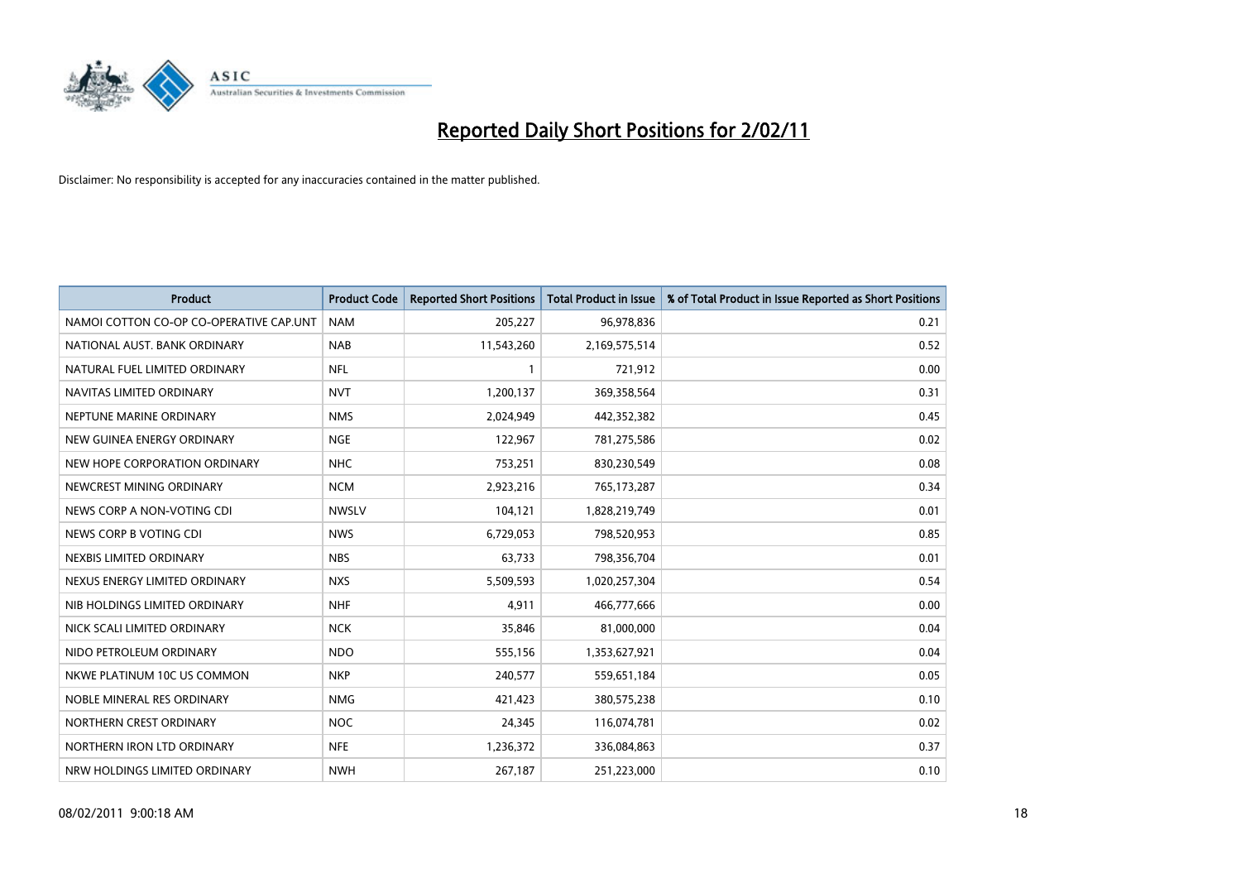

| Product                                 | <b>Product Code</b> | <b>Reported Short Positions</b> | Total Product in Issue | % of Total Product in Issue Reported as Short Positions |
|-----------------------------------------|---------------------|---------------------------------|------------------------|---------------------------------------------------------|
| NAMOI COTTON CO-OP CO-OPERATIVE CAP.UNT | <b>NAM</b>          | 205,227                         | 96,978,836             | 0.21                                                    |
| NATIONAL AUST. BANK ORDINARY            | <b>NAB</b>          | 11,543,260                      | 2,169,575,514          | 0.52                                                    |
| NATURAL FUEL LIMITED ORDINARY           | <b>NFL</b>          |                                 | 721,912                | 0.00                                                    |
| NAVITAS LIMITED ORDINARY                | <b>NVT</b>          | 1,200,137                       | 369,358,564            | 0.31                                                    |
| NEPTUNE MARINE ORDINARY                 | <b>NMS</b>          | 2,024,949                       | 442,352,382            | 0.45                                                    |
| NEW GUINEA ENERGY ORDINARY              | <b>NGE</b>          | 122,967                         | 781,275,586            | 0.02                                                    |
| NEW HOPE CORPORATION ORDINARY           | <b>NHC</b>          | 753,251                         | 830,230,549            | 0.08                                                    |
| NEWCREST MINING ORDINARY                | <b>NCM</b>          | 2,923,216                       | 765,173,287            | 0.34                                                    |
| NEWS CORP A NON-VOTING CDI              | <b>NWSLV</b>        | 104,121                         | 1,828,219,749          | 0.01                                                    |
| NEWS CORP B VOTING CDI                  | <b>NWS</b>          | 6,729,053                       | 798,520,953            | 0.85                                                    |
| NEXBIS LIMITED ORDINARY                 | <b>NBS</b>          | 63,733                          | 798,356,704            | 0.01                                                    |
| NEXUS ENERGY LIMITED ORDINARY           | <b>NXS</b>          | 5,509,593                       | 1,020,257,304          | 0.54                                                    |
| NIB HOLDINGS LIMITED ORDINARY           | <b>NHF</b>          | 4,911                           | 466,777,666            | 0.00                                                    |
| NICK SCALI LIMITED ORDINARY             | <b>NCK</b>          | 35,846                          | 81,000,000             | 0.04                                                    |
| NIDO PETROLEUM ORDINARY                 | <b>NDO</b>          | 555,156                         | 1,353,627,921          | 0.04                                                    |
| NKWE PLATINUM 10C US COMMON             | <b>NKP</b>          | 240,577                         | 559,651,184            | 0.05                                                    |
| NOBLE MINERAL RES ORDINARY              | <b>NMG</b>          | 421,423                         | 380,575,238            | 0.10                                                    |
| NORTHERN CREST ORDINARY                 | <b>NOC</b>          | 24,345                          | 116,074,781            | 0.02                                                    |
| NORTHERN IRON LTD ORDINARY              | <b>NFE</b>          | 1,236,372                       | 336,084,863            | 0.37                                                    |
| NRW HOLDINGS LIMITED ORDINARY           | <b>NWH</b>          | 267,187                         | 251,223,000            | 0.10                                                    |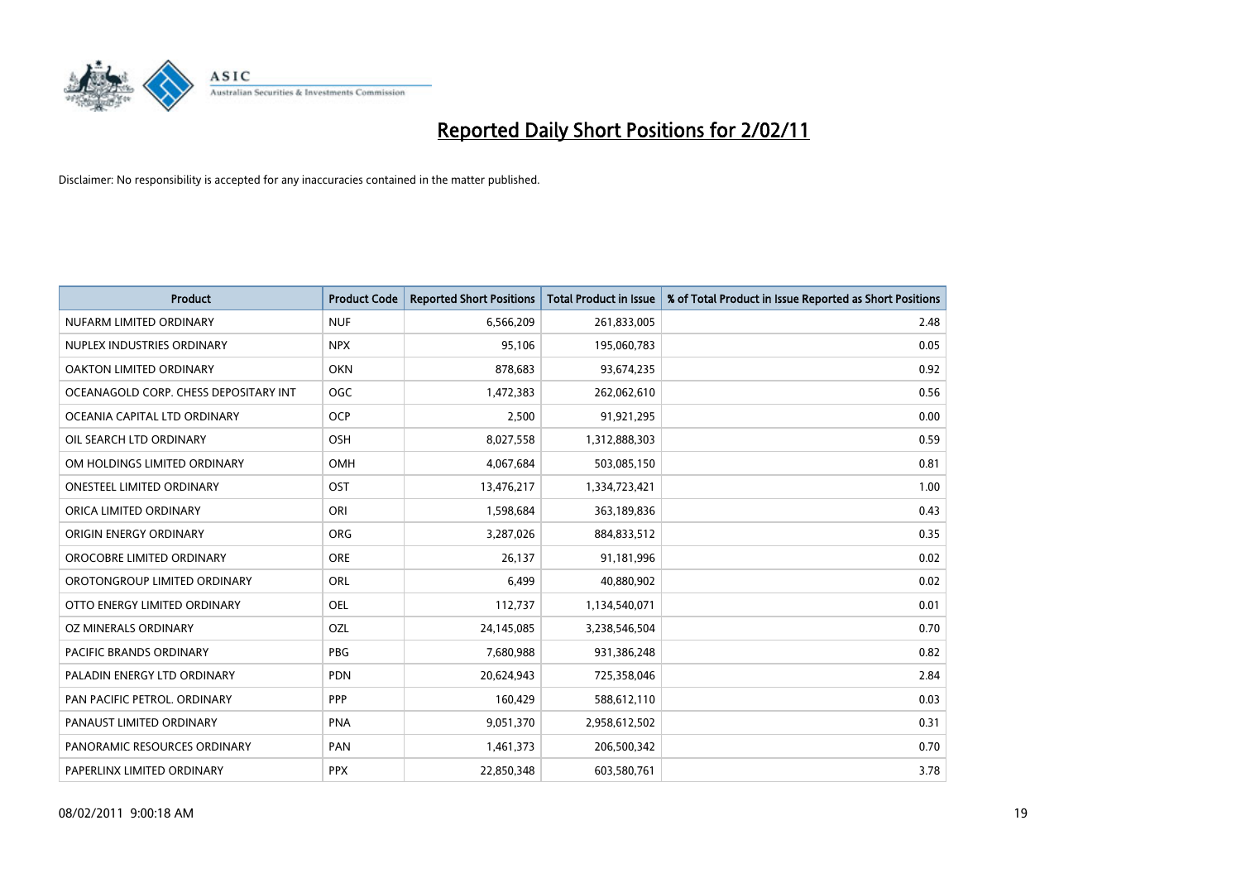

| Product                               | <b>Product Code</b> | <b>Reported Short Positions</b> | <b>Total Product in Issue</b> | % of Total Product in Issue Reported as Short Positions |
|---------------------------------------|---------------------|---------------------------------|-------------------------------|---------------------------------------------------------|
| NUFARM LIMITED ORDINARY               | <b>NUF</b>          | 6,566,209                       | 261,833,005                   | 2.48                                                    |
| NUPLEX INDUSTRIES ORDINARY            | <b>NPX</b>          | 95,106                          | 195,060,783                   | 0.05                                                    |
| OAKTON LIMITED ORDINARY               | <b>OKN</b>          | 878,683                         | 93,674,235                    | 0.92                                                    |
| OCEANAGOLD CORP. CHESS DEPOSITARY INT | <b>OGC</b>          | 1,472,383                       | 262,062,610                   | 0.56                                                    |
| OCEANIA CAPITAL LTD ORDINARY          | <b>OCP</b>          | 2,500                           | 91,921,295                    | 0.00                                                    |
| OIL SEARCH LTD ORDINARY               | OSH                 | 8,027,558                       | 1,312,888,303                 | 0.59                                                    |
| OM HOLDINGS LIMITED ORDINARY          | <b>OMH</b>          | 4,067,684                       | 503,085,150                   | 0.81                                                    |
| <b>ONESTEEL LIMITED ORDINARY</b>      | OST                 | 13,476,217                      | 1,334,723,421                 | 1.00                                                    |
| ORICA LIMITED ORDINARY                | ORI                 | 1,598,684                       | 363,189,836                   | 0.43                                                    |
| ORIGIN ENERGY ORDINARY                | <b>ORG</b>          | 3,287,026                       | 884,833,512                   | 0.35                                                    |
| OROCOBRE LIMITED ORDINARY             | <b>ORE</b>          | 26,137                          | 91,181,996                    | 0.02                                                    |
| OROTONGROUP LIMITED ORDINARY          | ORL                 | 6,499                           | 40,880,902                    | 0.02                                                    |
| OTTO ENERGY LIMITED ORDINARY          | <b>OEL</b>          | 112,737                         | 1,134,540,071                 | 0.01                                                    |
| OZ MINERALS ORDINARY                  | OZL                 | 24,145,085                      | 3,238,546,504                 | 0.70                                                    |
| <b>PACIFIC BRANDS ORDINARY</b>        | <b>PBG</b>          | 7,680,988                       | 931,386,248                   | 0.82                                                    |
| PALADIN ENERGY LTD ORDINARY           | <b>PDN</b>          | 20,624,943                      | 725,358,046                   | 2.84                                                    |
| PAN PACIFIC PETROL. ORDINARY          | PPP                 | 160,429                         | 588,612,110                   | 0.03                                                    |
| PANAUST LIMITED ORDINARY              | <b>PNA</b>          | 9,051,370                       | 2,958,612,502                 | 0.31                                                    |
| PANORAMIC RESOURCES ORDINARY          | PAN                 | 1,461,373                       | 206,500,342                   | 0.70                                                    |
| PAPERLINX LIMITED ORDINARY            | <b>PPX</b>          | 22,850,348                      | 603,580,761                   | 3.78                                                    |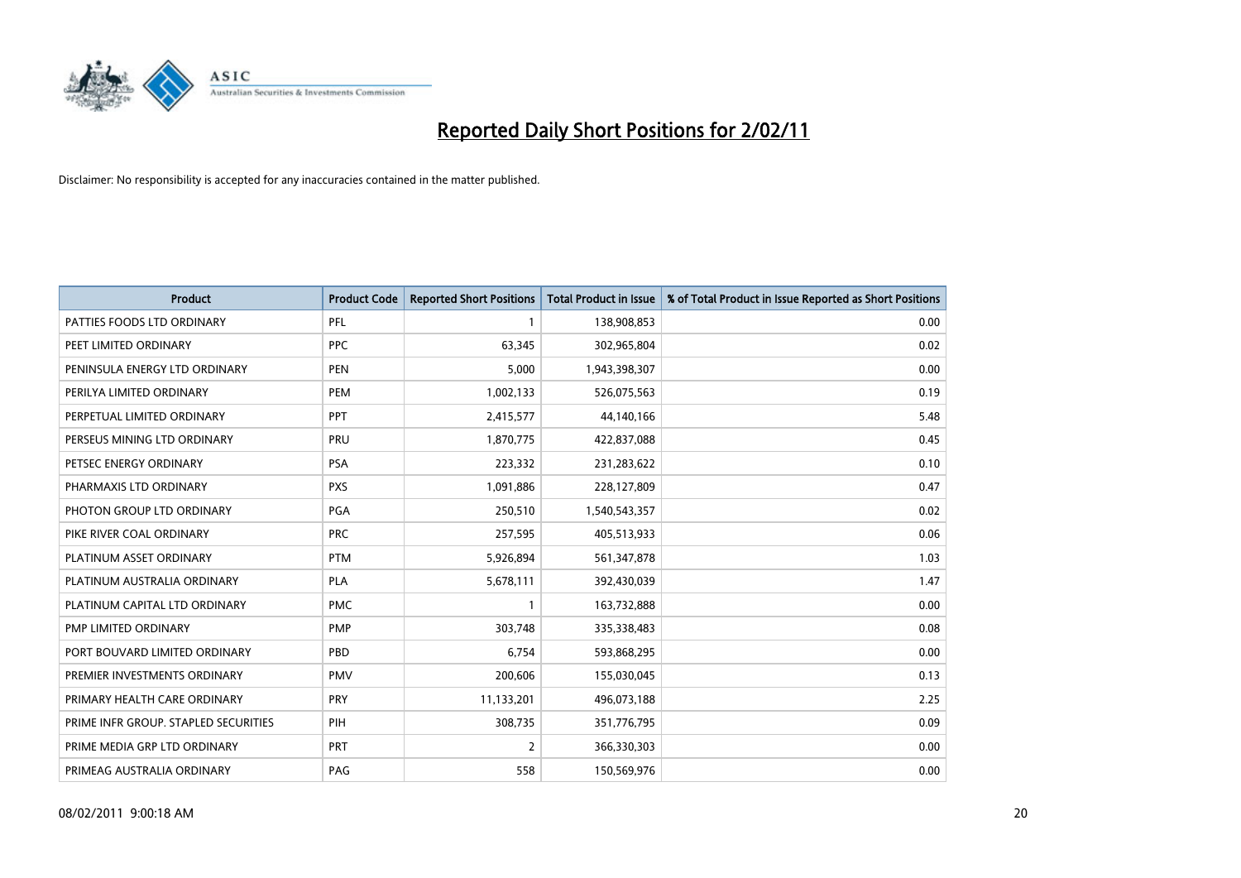

| <b>Product</b>                       | <b>Product Code</b> | <b>Reported Short Positions</b> | <b>Total Product in Issue</b> | % of Total Product in Issue Reported as Short Positions |
|--------------------------------------|---------------------|---------------------------------|-------------------------------|---------------------------------------------------------|
| PATTIES FOODS LTD ORDINARY           | PFL                 |                                 | 138,908,853                   | 0.00                                                    |
| PEET LIMITED ORDINARY                | <b>PPC</b>          | 63,345                          | 302,965,804                   | 0.02                                                    |
| PENINSULA ENERGY LTD ORDINARY        | <b>PEN</b>          | 5,000                           | 1,943,398,307                 | 0.00                                                    |
| PERILYA LIMITED ORDINARY             | <b>PEM</b>          | 1,002,133                       | 526,075,563                   | 0.19                                                    |
| PERPETUAL LIMITED ORDINARY           | <b>PPT</b>          | 2,415,577                       | 44,140,166                    | 5.48                                                    |
| PERSEUS MINING LTD ORDINARY          | PRU                 | 1,870,775                       | 422,837,088                   | 0.45                                                    |
| PETSEC ENERGY ORDINARY               | PSA                 | 223,332                         | 231,283,622                   | 0.10                                                    |
| PHARMAXIS LTD ORDINARY               | <b>PXS</b>          | 1,091,886                       | 228,127,809                   | 0.47                                                    |
| PHOTON GROUP LTD ORDINARY            | PGA                 | 250,510                         | 1,540,543,357                 | 0.02                                                    |
| PIKE RIVER COAL ORDINARY             | <b>PRC</b>          | 257,595                         | 405,513,933                   | 0.06                                                    |
| PLATINUM ASSET ORDINARY              | <b>PTM</b>          | 5,926,894                       | 561,347,878                   | 1.03                                                    |
| PLATINUM AUSTRALIA ORDINARY          | <b>PLA</b>          | 5,678,111                       | 392,430,039                   | 1.47                                                    |
| PLATINUM CAPITAL LTD ORDINARY        | <b>PMC</b>          |                                 | 163,732,888                   | 0.00                                                    |
| PMP LIMITED ORDINARY                 | <b>PMP</b>          | 303,748                         | 335,338,483                   | 0.08                                                    |
| PORT BOUVARD LIMITED ORDINARY        | PBD                 | 6,754                           | 593,868,295                   | 0.00                                                    |
| PREMIER INVESTMENTS ORDINARY         | <b>PMV</b>          | 200,606                         | 155,030,045                   | 0.13                                                    |
| PRIMARY HEALTH CARE ORDINARY         | <b>PRY</b>          | 11,133,201                      | 496,073,188                   | 2.25                                                    |
| PRIME INFR GROUP. STAPLED SECURITIES | PIH                 | 308,735                         | 351,776,795                   | 0.09                                                    |
| PRIME MEDIA GRP LTD ORDINARY         | <b>PRT</b>          | $\overline{2}$                  | 366,330,303                   | 0.00                                                    |
| PRIMEAG AUSTRALIA ORDINARY           | PAG                 | 558                             | 150,569,976                   | 0.00                                                    |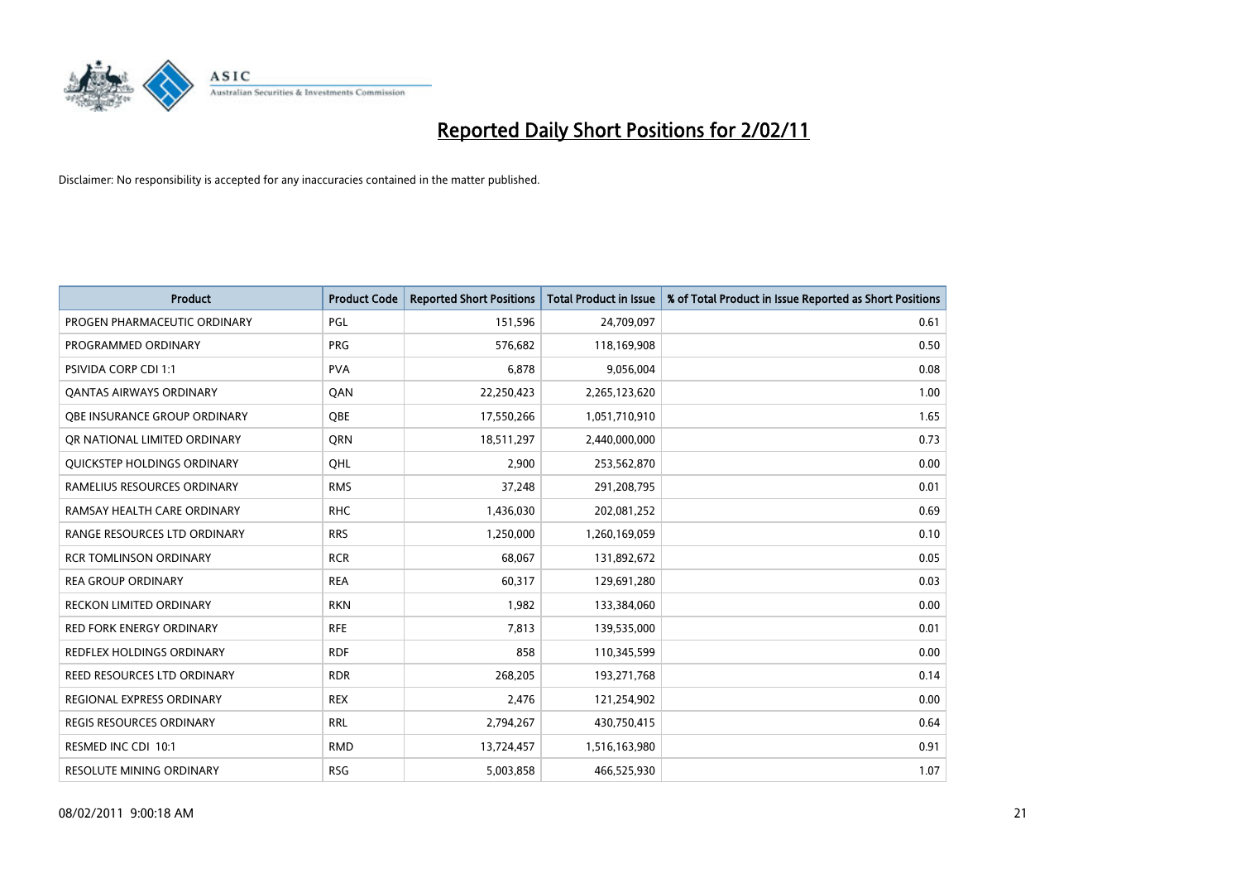

| <b>Product</b>                   | <b>Product Code</b> | <b>Reported Short Positions</b> | <b>Total Product in Issue</b> | % of Total Product in Issue Reported as Short Positions |
|----------------------------------|---------------------|---------------------------------|-------------------------------|---------------------------------------------------------|
| PROGEN PHARMACEUTIC ORDINARY     | PGL                 | 151,596                         | 24,709,097                    | 0.61                                                    |
| PROGRAMMED ORDINARY              | <b>PRG</b>          | 576,682                         | 118,169,908                   | 0.50                                                    |
| <b>PSIVIDA CORP CDI 1:1</b>      | <b>PVA</b>          | 6,878                           | 9,056,004                     | 0.08                                                    |
| <b>QANTAS AIRWAYS ORDINARY</b>   | QAN                 | 22,250,423                      | 2,265,123,620                 | 1.00                                                    |
| OBE INSURANCE GROUP ORDINARY     | <b>OBE</b>          | 17,550,266                      | 1,051,710,910                 | 1.65                                                    |
| OR NATIONAL LIMITED ORDINARY     | <b>ORN</b>          | 18,511,297                      | 2,440,000,000                 | 0.73                                                    |
| QUICKSTEP HOLDINGS ORDINARY      | OHL                 | 2.900                           | 253,562,870                   | 0.00                                                    |
| RAMELIUS RESOURCES ORDINARY      | <b>RMS</b>          | 37,248                          | 291,208,795                   | 0.01                                                    |
| RAMSAY HEALTH CARE ORDINARY      | <b>RHC</b>          | 1,436,030                       | 202,081,252                   | 0.69                                                    |
| RANGE RESOURCES LTD ORDINARY     | <b>RRS</b>          | 1,250,000                       | 1,260,169,059                 | 0.10                                                    |
| RCR TOMLINSON ORDINARY           | <b>RCR</b>          | 68,067                          | 131,892,672                   | 0.05                                                    |
| <b>REA GROUP ORDINARY</b>        | <b>REA</b>          | 60,317                          | 129,691,280                   | 0.03                                                    |
| RECKON LIMITED ORDINARY          | <b>RKN</b>          | 1,982                           | 133,384,060                   | 0.00                                                    |
| <b>RED FORK ENERGY ORDINARY</b>  | <b>RFE</b>          | 7,813                           | 139,535,000                   | 0.01                                                    |
| <b>REDFLEX HOLDINGS ORDINARY</b> | <b>RDF</b>          | 858                             | 110,345,599                   | 0.00                                                    |
| REED RESOURCES LTD ORDINARY      | <b>RDR</b>          | 268,205                         | 193,271,768                   | 0.14                                                    |
| <b>REGIONAL EXPRESS ORDINARY</b> | <b>REX</b>          | 2,476                           | 121,254,902                   | 0.00                                                    |
| REGIS RESOURCES ORDINARY         | <b>RRL</b>          | 2,794,267                       | 430,750,415                   | 0.64                                                    |
| RESMED INC CDI 10:1              | <b>RMD</b>          | 13,724,457                      | 1,516,163,980                 | 0.91                                                    |
| <b>RESOLUTE MINING ORDINARY</b>  | <b>RSG</b>          | 5,003,858                       | 466,525,930                   | 1.07                                                    |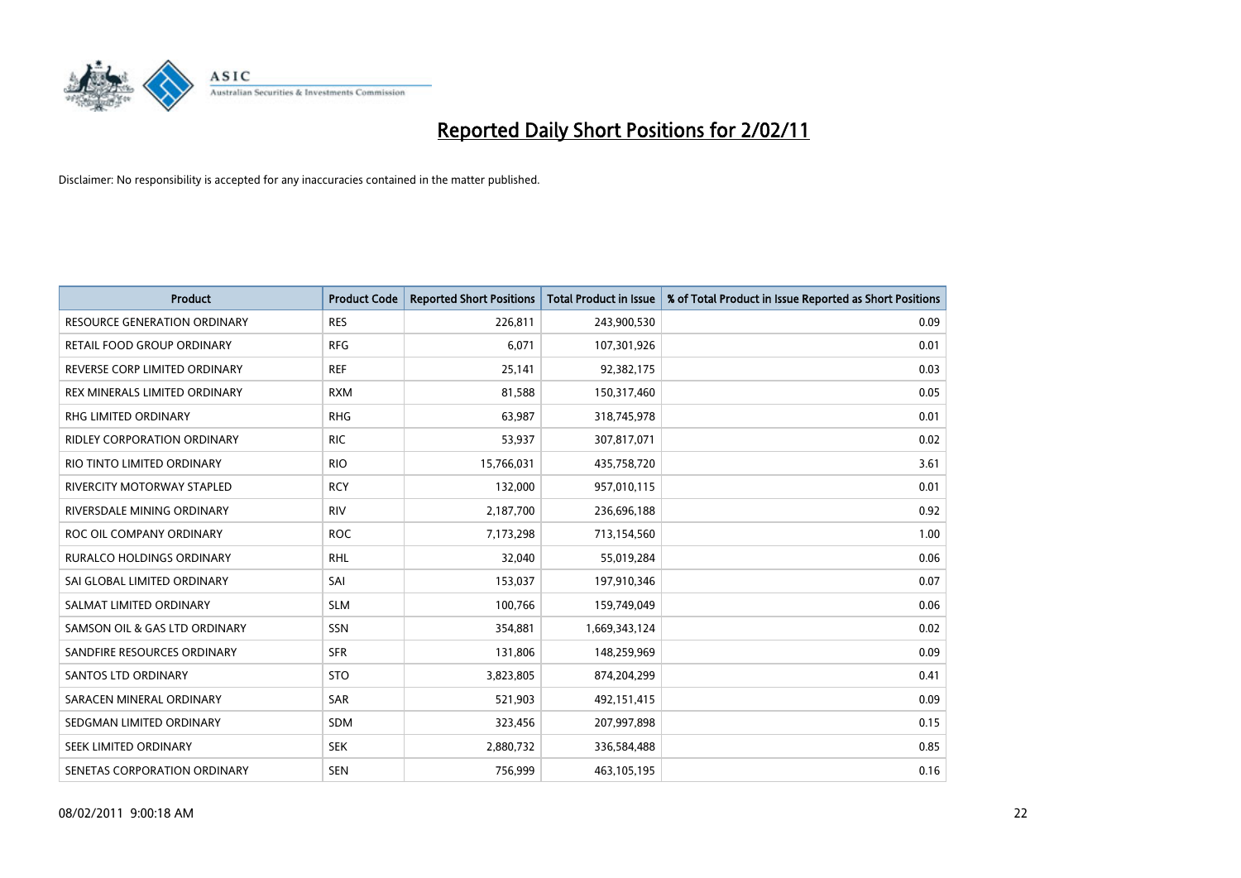

| Product                             | <b>Product Code</b> | <b>Reported Short Positions</b> | Total Product in Issue | % of Total Product in Issue Reported as Short Positions |
|-------------------------------------|---------------------|---------------------------------|------------------------|---------------------------------------------------------|
| <b>RESOURCE GENERATION ORDINARY</b> | <b>RES</b>          | 226,811                         | 243,900,530            | 0.09                                                    |
| RETAIL FOOD GROUP ORDINARY          | <b>RFG</b>          | 6,071                           | 107,301,926            | 0.01                                                    |
| REVERSE CORP LIMITED ORDINARY       | <b>REF</b>          | 25,141                          | 92,382,175             | 0.03                                                    |
| REX MINERALS LIMITED ORDINARY       | <b>RXM</b>          | 81,588                          | 150,317,460            | 0.05                                                    |
| <b>RHG LIMITED ORDINARY</b>         | <b>RHG</b>          | 63,987                          | 318,745,978            | 0.01                                                    |
| RIDLEY CORPORATION ORDINARY         | <b>RIC</b>          | 53,937                          | 307,817,071            | 0.02                                                    |
| RIO TINTO LIMITED ORDINARY          | <b>RIO</b>          | 15,766,031                      | 435,758,720            | 3.61                                                    |
| <b>RIVERCITY MOTORWAY STAPLED</b>   | <b>RCY</b>          | 132,000                         | 957,010,115            | 0.01                                                    |
| RIVERSDALE MINING ORDINARY          | <b>RIV</b>          | 2,187,700                       | 236,696,188            | 0.92                                                    |
| ROC OIL COMPANY ORDINARY            | <b>ROC</b>          | 7,173,298                       | 713,154,560            | 1.00                                                    |
| <b>RURALCO HOLDINGS ORDINARY</b>    | <b>RHL</b>          | 32,040                          | 55,019,284             | 0.06                                                    |
| SAI GLOBAL LIMITED ORDINARY         | SAI                 | 153,037                         | 197,910,346            | 0.07                                                    |
| SALMAT LIMITED ORDINARY             | <b>SLM</b>          | 100,766                         | 159,749,049            | 0.06                                                    |
| SAMSON OIL & GAS LTD ORDINARY       | <b>SSN</b>          | 354,881                         | 1,669,343,124          | 0.02                                                    |
| SANDFIRE RESOURCES ORDINARY         | <b>SFR</b>          | 131,806                         | 148,259,969            | 0.09                                                    |
| <b>SANTOS LTD ORDINARY</b>          | <b>STO</b>          | 3,823,805                       | 874,204,299            | 0.41                                                    |
| SARACEN MINERAL ORDINARY            | SAR                 | 521,903                         | 492,151,415            | 0.09                                                    |
| SEDGMAN LIMITED ORDINARY            | <b>SDM</b>          | 323,456                         | 207,997,898            | 0.15                                                    |
| SEEK LIMITED ORDINARY               | <b>SEK</b>          | 2,880,732                       | 336,584,488            | 0.85                                                    |
| SENETAS CORPORATION ORDINARY        | <b>SEN</b>          | 756,999                         | 463,105,195            | 0.16                                                    |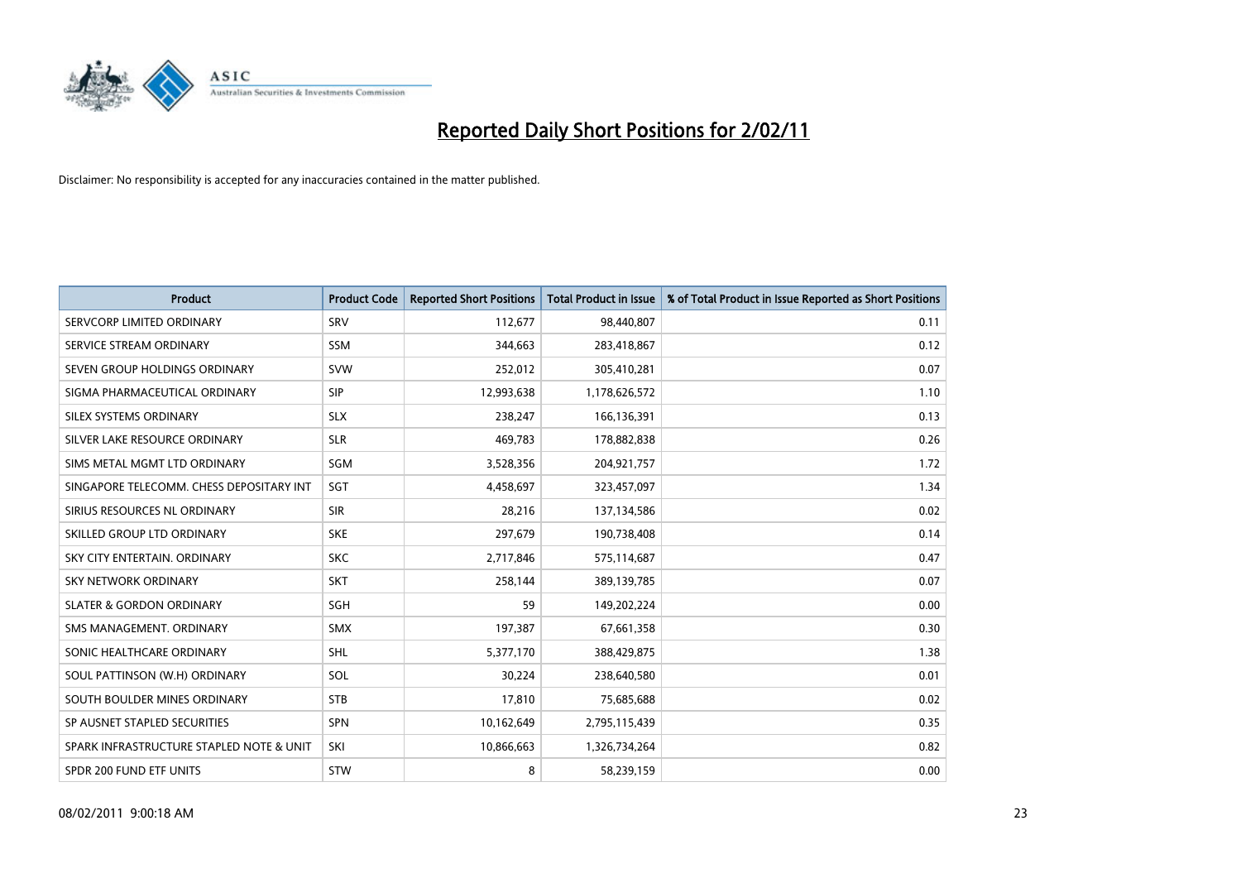

| <b>Product</b>                           | <b>Product Code</b> | <b>Reported Short Positions</b> | Total Product in Issue | % of Total Product in Issue Reported as Short Positions |
|------------------------------------------|---------------------|---------------------------------|------------------------|---------------------------------------------------------|
| SERVCORP LIMITED ORDINARY                | SRV                 | 112,677                         | 98,440,807             | 0.11                                                    |
| SERVICE STREAM ORDINARY                  | <b>SSM</b>          | 344,663                         | 283,418,867            | 0.12                                                    |
| SEVEN GROUP HOLDINGS ORDINARY            | <b>SVW</b>          | 252,012                         | 305,410,281            | 0.07                                                    |
| SIGMA PHARMACEUTICAL ORDINARY            | <b>SIP</b>          | 12,993,638                      | 1,178,626,572          | 1.10                                                    |
| SILEX SYSTEMS ORDINARY                   | <b>SLX</b>          | 238.247                         | 166,136,391            | 0.13                                                    |
| SILVER LAKE RESOURCE ORDINARY            | <b>SLR</b>          | 469,783                         | 178,882,838            | 0.26                                                    |
| SIMS METAL MGMT LTD ORDINARY             | SGM                 | 3,528,356                       | 204,921,757            | 1.72                                                    |
| SINGAPORE TELECOMM. CHESS DEPOSITARY INT | SGT                 | 4,458,697                       | 323,457,097            | 1.34                                                    |
| SIRIUS RESOURCES NL ORDINARY             | <b>SIR</b>          | 28,216                          | 137,134,586            | 0.02                                                    |
| SKILLED GROUP LTD ORDINARY               | <b>SKE</b>          | 297,679                         | 190,738,408            | 0.14                                                    |
| SKY CITY ENTERTAIN, ORDINARY             | <b>SKC</b>          | 2,717,846                       | 575,114,687            | 0.47                                                    |
| <b>SKY NETWORK ORDINARY</b>              | <b>SKT</b>          | 258,144                         | 389,139,785            | 0.07                                                    |
| <b>SLATER &amp; GORDON ORDINARY</b>      | SGH                 | 59                              | 149,202,224            | 0.00                                                    |
| SMS MANAGEMENT, ORDINARY                 | <b>SMX</b>          | 197,387                         | 67,661,358             | 0.30                                                    |
| SONIC HEALTHCARE ORDINARY                | <b>SHL</b>          | 5,377,170                       | 388,429,875            | 1.38                                                    |
| SOUL PATTINSON (W.H) ORDINARY            | SOL                 | 30,224                          | 238,640,580            | 0.01                                                    |
| SOUTH BOULDER MINES ORDINARY             | <b>STB</b>          | 17,810                          | 75,685,688             | 0.02                                                    |
| SP AUSNET STAPLED SECURITIES             | <b>SPN</b>          | 10,162,649                      | 2,795,115,439          | 0.35                                                    |
| SPARK INFRASTRUCTURE STAPLED NOTE & UNIT | SKI                 | 10,866,663                      | 1,326,734,264          | 0.82                                                    |
| SPDR 200 FUND ETF UNITS                  | <b>STW</b>          | 8                               | 58,239,159             | 0.00                                                    |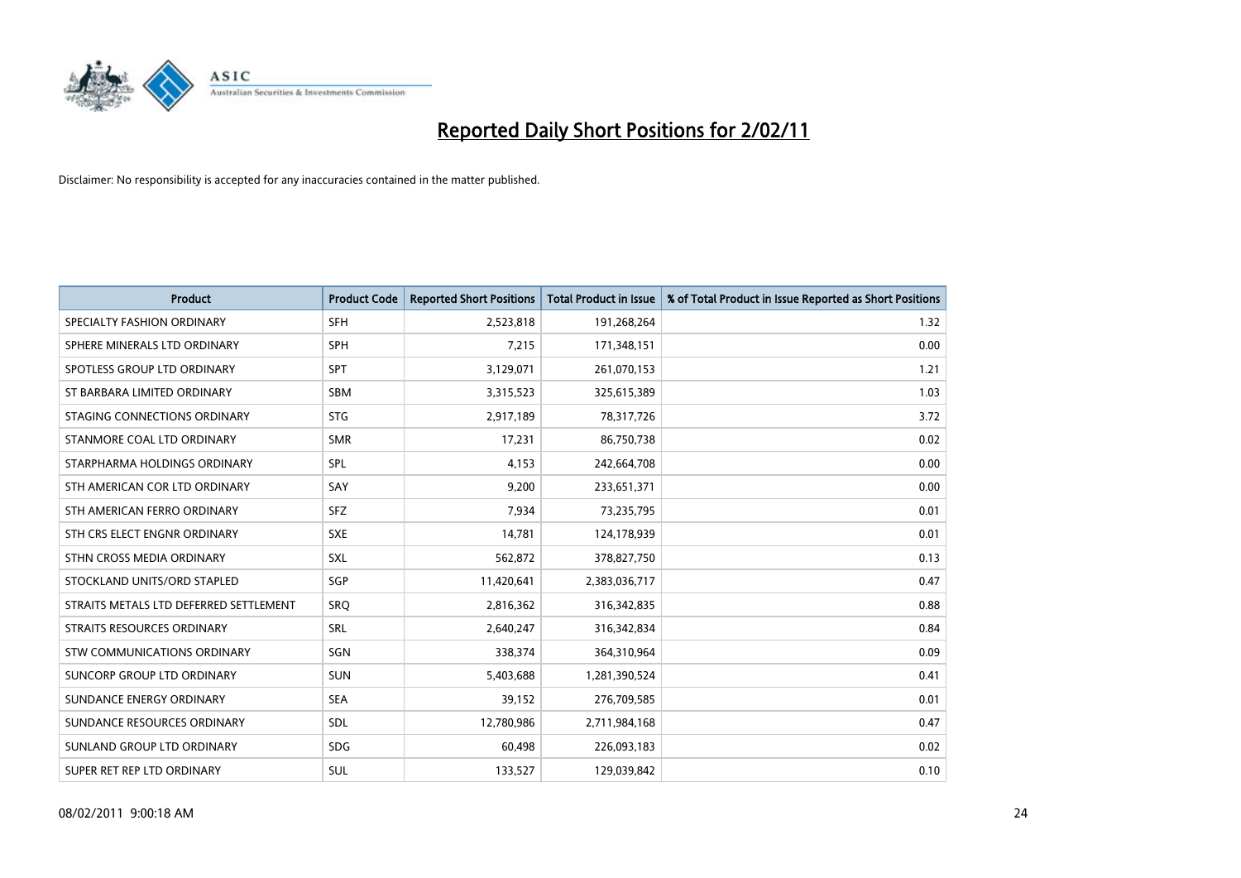

| <b>Product</b>                         | <b>Product Code</b> | <b>Reported Short Positions</b> | <b>Total Product in Issue</b> | % of Total Product in Issue Reported as Short Positions |
|----------------------------------------|---------------------|---------------------------------|-------------------------------|---------------------------------------------------------|
| SPECIALTY FASHION ORDINARY             | <b>SFH</b>          | 2,523,818                       | 191,268,264                   | 1.32                                                    |
| SPHERE MINERALS LTD ORDINARY           | <b>SPH</b>          | 7,215                           | 171,348,151                   | 0.00                                                    |
| SPOTLESS GROUP LTD ORDINARY            | <b>SPT</b>          | 3,129,071                       | 261,070,153                   | 1.21                                                    |
| ST BARBARA LIMITED ORDINARY            | <b>SBM</b>          | 3,315,523                       | 325,615,389                   | 1.03                                                    |
| STAGING CONNECTIONS ORDINARY           | <b>STG</b>          | 2,917,189                       | 78,317,726                    | 3.72                                                    |
| STANMORE COAL LTD ORDINARY             | <b>SMR</b>          | 17,231                          | 86,750,738                    | 0.02                                                    |
| STARPHARMA HOLDINGS ORDINARY           | SPL                 | 4,153                           | 242,664,708                   | 0.00                                                    |
| STH AMERICAN COR LTD ORDINARY          | SAY                 | 9,200                           | 233,651,371                   | 0.00                                                    |
| STH AMERICAN FERRO ORDINARY            | <b>SFZ</b>          | 7,934                           | 73,235,795                    | 0.01                                                    |
| STH CRS ELECT ENGNR ORDINARY           | <b>SXE</b>          | 14,781                          | 124,178,939                   | 0.01                                                    |
| STHN CROSS MEDIA ORDINARY              | <b>SXL</b>          | 562,872                         | 378,827,750                   | 0.13                                                    |
| STOCKLAND UNITS/ORD STAPLED            | SGP                 | 11,420,641                      | 2,383,036,717                 | 0.47                                                    |
| STRAITS METALS LTD DEFERRED SETTLEMENT | <b>SRQ</b>          | 2,816,362                       | 316, 342, 835                 | 0.88                                                    |
| STRAITS RESOURCES ORDINARY             | SRL                 | 2,640,247                       | 316,342,834                   | 0.84                                                    |
| STW COMMUNICATIONS ORDINARY            | SGN                 | 338,374                         | 364,310,964                   | 0.09                                                    |
| SUNCORP GROUP LTD ORDINARY             | <b>SUN</b>          | 5,403,688                       | 1,281,390,524                 | 0.41                                                    |
| SUNDANCE ENERGY ORDINARY               | <b>SEA</b>          | 39,152                          | 276,709,585                   | 0.01                                                    |
| SUNDANCE RESOURCES ORDINARY            | SDL                 | 12,780,986                      | 2,711,984,168                 | 0.47                                                    |
| SUNLAND GROUP LTD ORDINARY             | <b>SDG</b>          | 60,498                          | 226,093,183                   | 0.02                                                    |
| SUPER RET REP LTD ORDINARY             | <b>SUL</b>          | 133,527                         | 129,039,842                   | 0.10                                                    |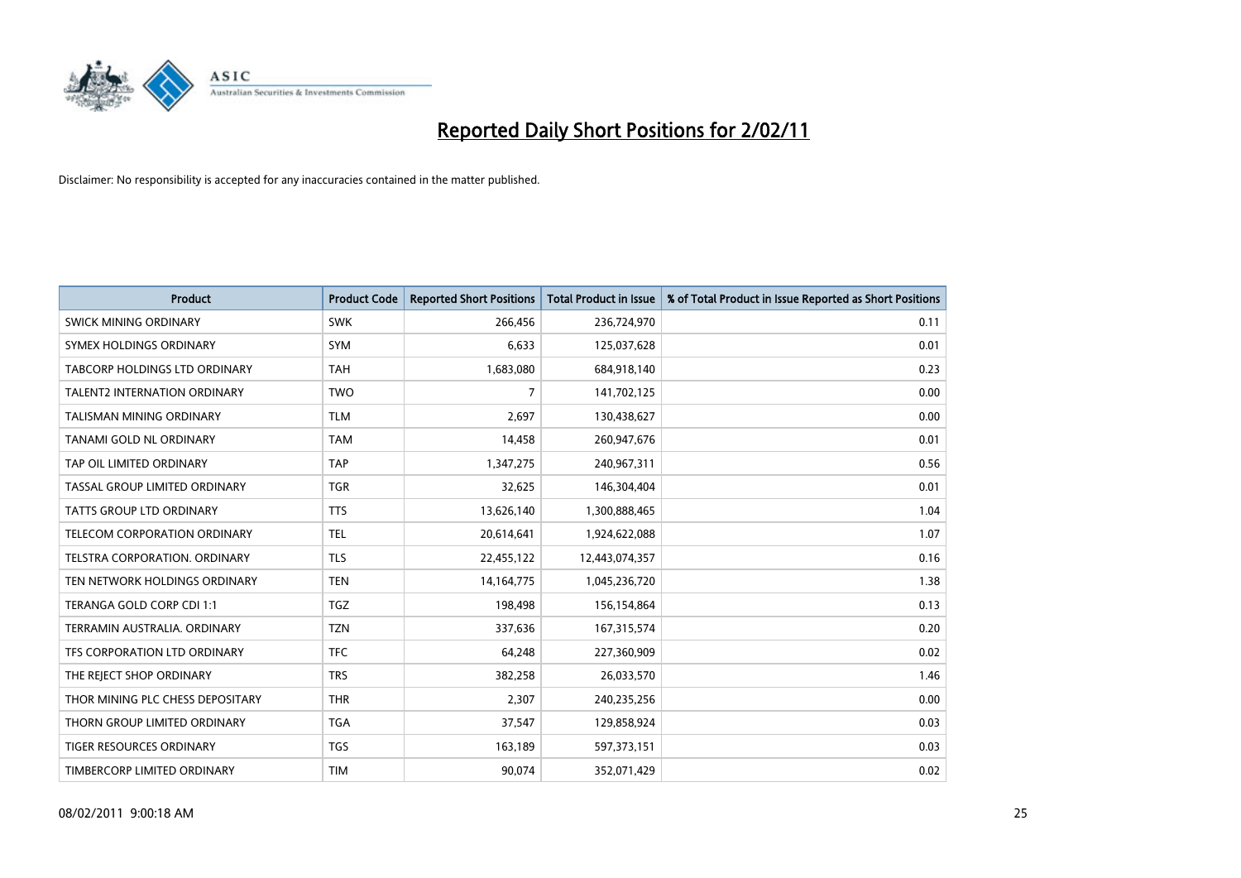

| <b>Product</b>                       | <b>Product Code</b> | <b>Reported Short Positions</b> | Total Product in Issue | % of Total Product in Issue Reported as Short Positions |
|--------------------------------------|---------------------|---------------------------------|------------------------|---------------------------------------------------------|
| <b>SWICK MINING ORDINARY</b>         | <b>SWK</b>          | 266,456                         | 236,724,970            | 0.11                                                    |
| SYMEX HOLDINGS ORDINARY              | <b>SYM</b>          | 6,633                           | 125,037,628            | 0.01                                                    |
| TABCORP HOLDINGS LTD ORDINARY        | <b>TAH</b>          | 1,683,080                       | 684,918,140            | 0.23                                                    |
| TALENT2 INTERNATION ORDINARY         | <b>TWO</b>          | 7                               | 141,702,125            | 0.00                                                    |
| <b>TALISMAN MINING ORDINARY</b>      | <b>TLM</b>          | 2,697                           | 130,438,627            | 0.00                                                    |
| TANAMI GOLD NL ORDINARY              | <b>TAM</b>          | 14,458                          | 260,947,676            | 0.01                                                    |
| TAP OIL LIMITED ORDINARY             | <b>TAP</b>          | 1,347,275                       | 240,967,311            | 0.56                                                    |
| TASSAL GROUP LIMITED ORDINARY        | <b>TGR</b>          | 32,625                          | 146,304,404            | 0.01                                                    |
| TATTS GROUP LTD ORDINARY             | <b>TTS</b>          | 13,626,140                      | 1,300,888,465          | 1.04                                                    |
| TELECOM CORPORATION ORDINARY         | <b>TEL</b>          | 20,614,641                      | 1,924,622,088          | 1.07                                                    |
| <b>TELSTRA CORPORATION, ORDINARY</b> | <b>TLS</b>          | 22,455,122                      | 12,443,074,357         | 0.16                                                    |
| TEN NETWORK HOLDINGS ORDINARY        | <b>TEN</b>          | 14,164,775                      | 1,045,236,720          | 1.38                                                    |
| TERANGA GOLD CORP CDI 1:1            | <b>TGZ</b>          | 198,498                         | 156,154,864            | 0.13                                                    |
| TERRAMIN AUSTRALIA. ORDINARY         | <b>TZN</b>          | 337,636                         | 167,315,574            | 0.20                                                    |
| TFS CORPORATION LTD ORDINARY         | <b>TFC</b>          | 64,248                          | 227,360,909            | 0.02                                                    |
| THE REJECT SHOP ORDINARY             | <b>TRS</b>          | 382,258                         | 26,033,570             | 1.46                                                    |
| THOR MINING PLC CHESS DEPOSITARY     | <b>THR</b>          | 2,307                           | 240,235,256            | 0.00                                                    |
| THORN GROUP LIMITED ORDINARY         | <b>TGA</b>          | 37,547                          | 129,858,924            | 0.03                                                    |
| <b>TIGER RESOURCES ORDINARY</b>      | <b>TGS</b>          | 163,189                         | 597, 373, 151          | 0.03                                                    |
| TIMBERCORP LIMITED ORDINARY          | <b>TIM</b>          | 90.074                          | 352,071,429            | 0.02                                                    |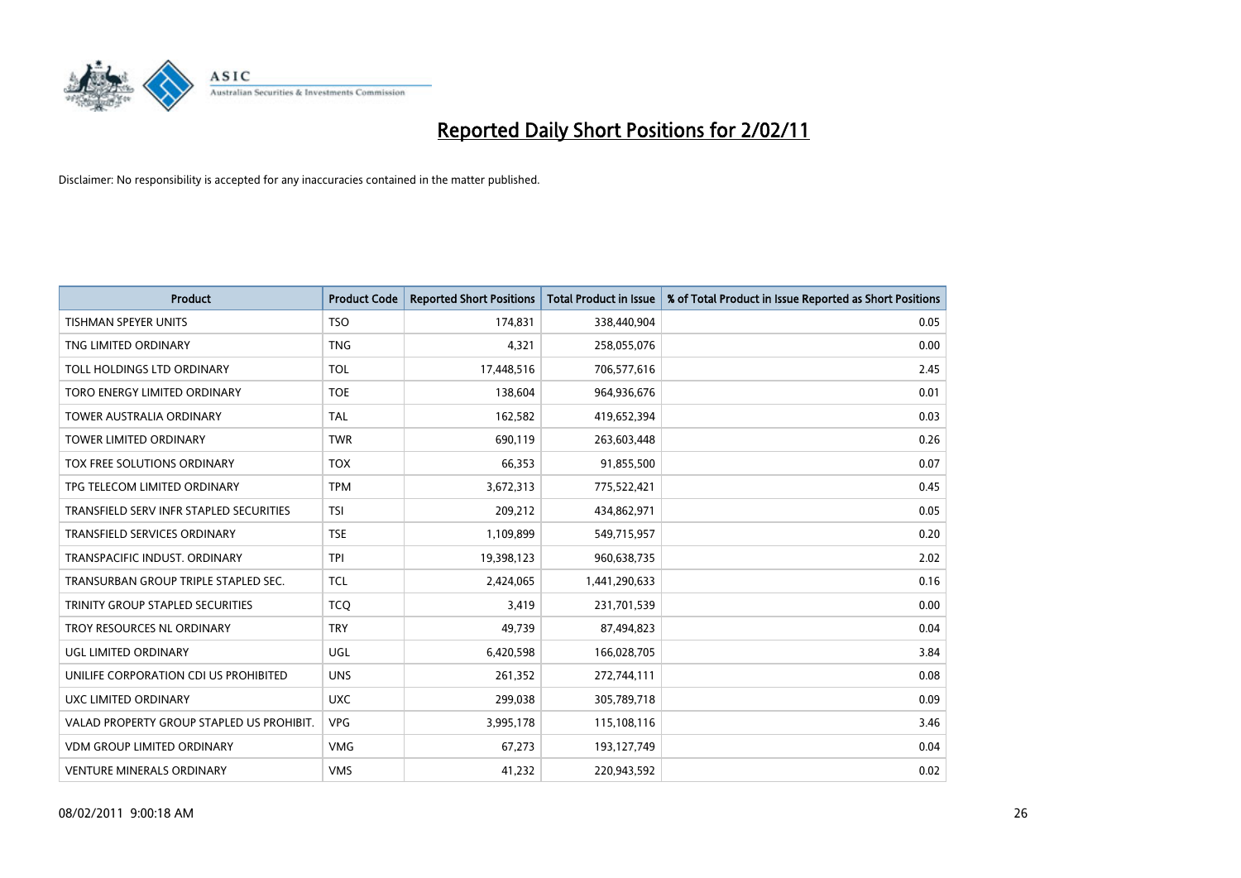

| <b>Product</b>                            | <b>Product Code</b> | <b>Reported Short Positions</b> | Total Product in Issue | % of Total Product in Issue Reported as Short Positions |
|-------------------------------------------|---------------------|---------------------------------|------------------------|---------------------------------------------------------|
| <b>TISHMAN SPEYER UNITS</b>               | <b>TSO</b>          | 174,831                         | 338,440,904            | 0.05                                                    |
| TNG LIMITED ORDINARY                      | <b>TNG</b>          | 4,321                           | 258,055,076            | 0.00                                                    |
| TOLL HOLDINGS LTD ORDINARY                | <b>TOL</b>          | 17,448,516                      | 706,577,616            | 2.45                                                    |
| TORO ENERGY LIMITED ORDINARY              | <b>TOE</b>          | 138,604                         | 964,936,676            | 0.01                                                    |
| <b>TOWER AUSTRALIA ORDINARY</b>           | <b>TAL</b>          | 162,582                         | 419,652,394            | 0.03                                                    |
| <b>TOWER LIMITED ORDINARY</b>             | <b>TWR</b>          | 690,119                         | 263,603,448            | 0.26                                                    |
| TOX FREE SOLUTIONS ORDINARY               | <b>TOX</b>          | 66,353                          | 91,855,500             | 0.07                                                    |
| TPG TELECOM LIMITED ORDINARY              | <b>TPM</b>          | 3,672,313                       | 775,522,421            | 0.45                                                    |
| TRANSFIELD SERV INFR STAPLED SECURITIES   | <b>TSI</b>          | 209,212                         | 434,862,971            | 0.05                                                    |
| <b>TRANSFIELD SERVICES ORDINARY</b>       | <b>TSE</b>          | 1,109,899                       | 549,715,957            | 0.20                                                    |
| TRANSPACIFIC INDUST, ORDINARY             | <b>TPI</b>          | 19,398,123                      | 960,638,735            | 2.02                                                    |
| TRANSURBAN GROUP TRIPLE STAPLED SEC.      | <b>TCL</b>          | 2,424,065                       | 1,441,290,633          | 0.16                                                    |
| TRINITY GROUP STAPLED SECURITIES          | <b>TCQ</b>          | 3,419                           | 231,701,539            | 0.00                                                    |
| TROY RESOURCES NL ORDINARY                | <b>TRY</b>          | 49.739                          | 87,494,823             | 0.04                                                    |
| UGL LIMITED ORDINARY                      | <b>UGL</b>          | 6,420,598                       | 166,028,705            | 3.84                                                    |
| UNILIFE CORPORATION CDI US PROHIBITED     | <b>UNS</b>          | 261.352                         | 272,744,111            | 0.08                                                    |
| UXC LIMITED ORDINARY                      | <b>UXC</b>          | 299,038                         | 305,789,718            | 0.09                                                    |
| VALAD PROPERTY GROUP STAPLED US PROHIBIT. | <b>VPG</b>          | 3,995,178                       | 115,108,116            | 3.46                                                    |
| <b>VDM GROUP LIMITED ORDINARY</b>         | <b>VMG</b>          | 67,273                          | 193,127,749            | 0.04                                                    |
| <b>VENTURE MINERALS ORDINARY</b>          | <b>VMS</b>          | 41,232                          | 220,943,592            | 0.02                                                    |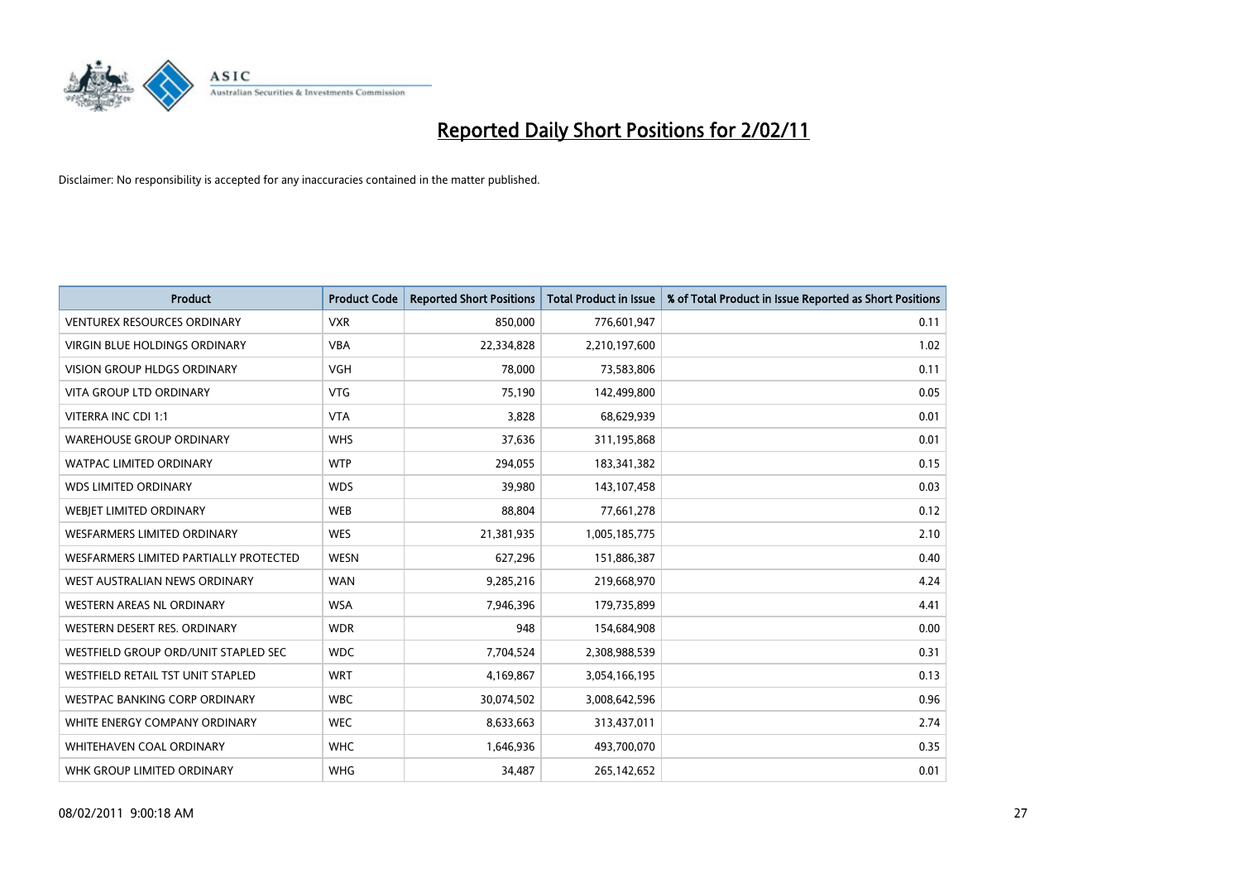

| <b>Product</b>                           | <b>Product Code</b> | <b>Reported Short Positions</b> | <b>Total Product in Issue</b> | % of Total Product in Issue Reported as Short Positions |
|------------------------------------------|---------------------|---------------------------------|-------------------------------|---------------------------------------------------------|
| <b>VENTUREX RESOURCES ORDINARY</b>       | <b>VXR</b>          | 850,000                         | 776,601,947                   | 0.11                                                    |
| VIRGIN BLUE HOLDINGS ORDINARY            | <b>VBA</b>          | 22,334,828                      | 2,210,197,600                 | 1.02                                                    |
| <b>VISION GROUP HLDGS ORDINARY</b>       | <b>VGH</b>          | 78,000                          | 73,583,806                    | 0.11                                                    |
| VITA GROUP LTD ORDINARY                  | <b>VTG</b>          | 75,190                          | 142,499,800                   | 0.05                                                    |
| VITERRA INC CDI 1:1                      | <b>VTA</b>          | 3,828                           | 68,629,939                    | 0.01                                                    |
| <b>WAREHOUSE GROUP ORDINARY</b>          | <b>WHS</b>          | 37,636                          | 311,195,868                   | 0.01                                                    |
| <b>WATPAC LIMITED ORDINARY</b>           | <b>WTP</b>          | 294,055                         | 183,341,382                   | 0.15                                                    |
| <b>WDS LIMITED ORDINARY</b>              | <b>WDS</b>          | 39,980                          | 143,107,458                   | 0.03                                                    |
| WEBIET LIMITED ORDINARY                  | <b>WEB</b>          | 88,804                          | 77,661,278                    | 0.12                                                    |
| <b>WESFARMERS LIMITED ORDINARY</b>       | <b>WES</b>          | 21,381,935                      | 1,005,185,775                 | 2.10                                                    |
| WESFARMERS LIMITED PARTIALLY PROTECTED   | WESN                | 627,296                         | 151,886,387                   | 0.40                                                    |
| WEST AUSTRALIAN NEWS ORDINARY            | <b>WAN</b>          | 9,285,216                       | 219,668,970                   | 4.24                                                    |
| <b>WESTERN AREAS NL ORDINARY</b>         | <b>WSA</b>          | 7,946,396                       | 179,735,899                   | 4.41                                                    |
| WESTERN DESERT RES. ORDINARY             | <b>WDR</b>          | 948                             | 154,684,908                   | 0.00                                                    |
| WESTFIELD GROUP ORD/UNIT STAPLED SEC     | <b>WDC</b>          | 7,704,524                       | 2,308,988,539                 | 0.31                                                    |
| <b>WESTFIELD RETAIL TST UNIT STAPLED</b> | <b>WRT</b>          | 4,169,867                       | 3,054,166,195                 | 0.13                                                    |
| <b>WESTPAC BANKING CORP ORDINARY</b>     | <b>WBC</b>          | 30,074,502                      | 3,008,642,596                 | 0.96                                                    |
| WHITE ENERGY COMPANY ORDINARY            | <b>WEC</b>          | 8,633,663                       | 313,437,011                   | 2.74                                                    |
| WHITEHAVEN COAL ORDINARY                 | <b>WHC</b>          | 1,646,936                       | 493,700,070                   | 0.35                                                    |
| WHK GROUP LIMITED ORDINARY               | <b>WHG</b>          | 34,487                          | 265,142,652                   | 0.01                                                    |